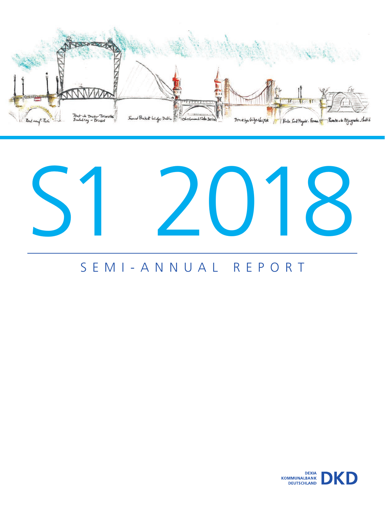



# SEMI-ANNUAL REPORT

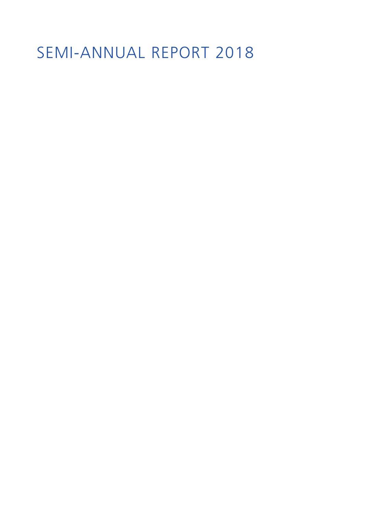# SEMI-ANNUAL REPORT 2018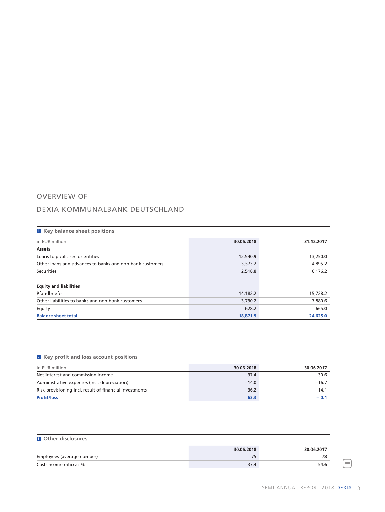## OVERVIEW OF

## DEXIA KOMMUNALBANK DEUTSCHLAND

| <b>1</b> Key balance sheet positions                     |            |            |  |  |
|----------------------------------------------------------|------------|------------|--|--|
| in EUR million                                           | 30.06.2018 | 31.12.2017 |  |  |
| Assets                                                   |            |            |  |  |
| Loans to public sector entities                          | 12,540.9   | 13,250.0   |  |  |
| Other loans and advances to banks and non-bank customers | 3,373.2    | 4,895.2    |  |  |
| <b>Securities</b>                                        | 2,518.8    | 6,176.2    |  |  |
|                                                          |            |            |  |  |
| <b>Equity and liabilities</b>                            |            |            |  |  |
| Pfandbriefe                                              | 14,182.2   | 15,728.2   |  |  |
| Other liabilities to banks and non-bank customers        | 3,790.2    | 7,880.6    |  |  |
| Equity                                                   | 628.2      | 665.0      |  |  |
| <b>Balance sheet total</b>                               | 18,871.9   | 24,625.0   |  |  |

| <b>2</b> Key profit and loss account positions          |            |            |  |  |  |
|---------------------------------------------------------|------------|------------|--|--|--|
| in EUR million                                          | 30.06.2018 | 30.06.2017 |  |  |  |
| Net interest and commission income                      | 37.4       | 30.6       |  |  |  |
| Administrative expenses (incl. depreciation)            | $-14.0$    | $-16.7$    |  |  |  |
| Risk provisioning incl. result of financial investments | 36.2       | $-14.1$    |  |  |  |
| <b>Profit/loss</b>                                      | 63.3       | $-0.1$     |  |  |  |

## **<sup>3</sup> Other disclosures**

|                            | 30.06.2018 | 30.06.2017 |
|----------------------------|------------|------------|
| Employees (average number) |            |            |
| Cost-income ratio as %     | 37.4       | 54.6       |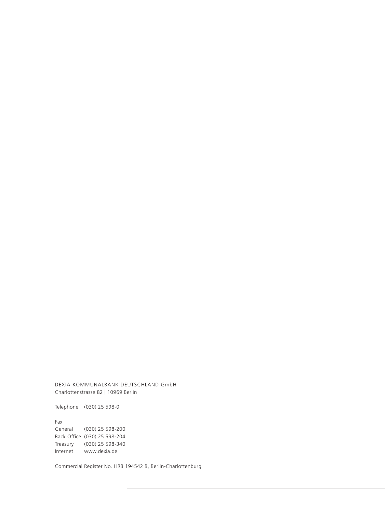DEXIA KOMMUNALBANK DEUTSCHLAND GmbH Charlottenstrasse 82 | 10969 Berlin

Telephone (030) 25 598-0

Fax General (030) 25 598-200 Back Office (030) 25 598-204 Treasury (030) 25 598-340 Internet www.dexia.de

Commercial Register No. HRB 194542 B, Berlin-Charlottenburg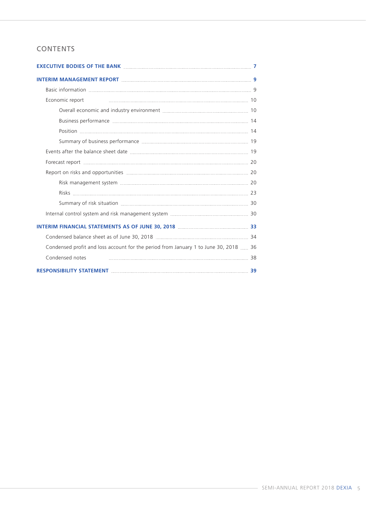# CONTENTS

| Economic report                                                                      |    |
|--------------------------------------------------------------------------------------|----|
|                                                                                      |    |
|                                                                                      |    |
|                                                                                      |    |
|                                                                                      |    |
|                                                                                      |    |
|                                                                                      |    |
|                                                                                      |    |
|                                                                                      |    |
|                                                                                      |    |
|                                                                                      |    |
|                                                                                      |    |
|                                                                                      |    |
|                                                                                      |    |
| Condensed profit and loss account for the period from January 1 to June 30, 2018  36 |    |
| Condensed notes                                                                      |    |
|                                                                                      | 39 |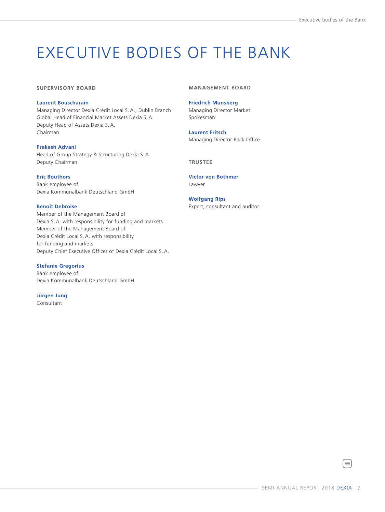# <span id="page-8-0"></span>EXECUTIVE BODIES OF THE BANK

#### **SUPERVISORY BOARD**

#### **Laurent Bouscharain**

Managing Director Dexia Crédit Local S. A., Dublin Branch Global Head of Financial Market Assets Dexia S. A. Deputy Head of Assets Dexia S. A. Chairman

#### **Prakash Advani**

Head of Group Strategy & Structuring Dexia S. A. Deputy Chairman

#### **Eric Bouthors**

Bank employee of Dexia Kommunalbank Deutschland GmbH

#### **Benoît Debroise**

Member of the Management Board of Dexia S. A. with responsibility for funding and markets Member of the Management Board of Dexia Crédit Local S. A. with responsibility for funding and markets Deputy Chief Executive Officer of Dexia Crédit Local S. A.

**Stefanie Gregorius** Bank employee of Dexia Kommunalbank Deutschland GmbH

**Jürgen Jung** 

Consultant

#### **MANAGEMENT BOARD**

### **Friedrich Munsberg**

Managing Director Market Spokesman

**Laurent Fritsch** Managing Director Back Office

#### **TRUSTEE**

**Victor von Bothmer** Lawyer

**Wolfgang Rips** Expert, consultant and auditor

Ι≡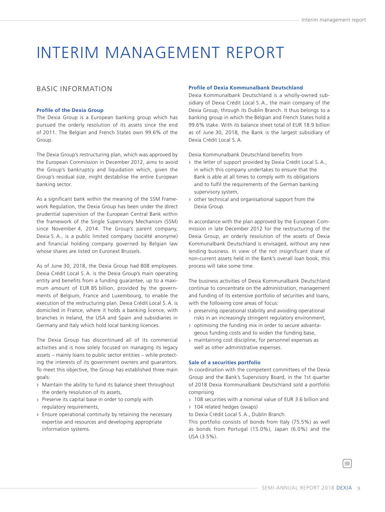# <span id="page-10-0"></span>INTERIM MANAGEMENT REPORT

## BASIC INFORMATION

#### **Profile of the Dexia Group**

The Dexia Group is a European banking group which has pursued the orderly resolution of its assets since the end of 2011. The Belgian and French States own 99.6% of the Group

The Dexia Group's restructuring plan, which was approved by the European Commission in December 2012, aims to avoid the Group's bankruptcy and liquidation which, given the Group's residual size, might destabilise the entire European banking sector.

As a significant bank within the meaning of the SSM Framework Regulation, the Dexia Group has been under the direct prudential supervision of the European Central Bank within the framework of the Single Supervisory Mechanism (SSM) since November 4, 2014. The Group's parent company, Dexia S. A., is a public limited company (société anonyme) and financial holding company governed by Belgian law whose shares are listed on Euronext Brussels.

As of June 30, 2018, the Dexia Group had 808 employees. Dexia Crédit Local S. A. is the Dexia Group's main operating entity and benefits from a funding guarantee, up to a maximum amount of EUR 85 billion, provided by the governments of Belgium, France and Luxembourg, to enable the execution of the restructuring plan. Dexia Crédit Local S. A. is domiciled in France, where it holds a banking licence, with branches in Ireland, the USA and Spain and subsidiaries in Germany and Italy which hold local banking licences.

The Dexia Group has discontinued all of its commercial activities and is now solely focused on managing its legacy assets – mainly loans to public sector entities – while protecting the interests of its government owners and guarantors. To meet this objective, the Group has established three main goals:

- **›** Maintain the ability to fund its balance sheet throughout the orderly resolution of its assets,
- **›** Preserve its capital base in order to comply with regulatory requirements,
- **›** Ensure operational continuity by retaining the necessary expertise and resources and developing appropriate information systems.

### **Profile of Dexia Kommunalbank Deutschland**

Dexia Kommunalbank Deutschland is a wholly-owned subsidiary of Dexia Crédit Local S. A., the main company of the Dexia Group, through its Dublin Branch. It thus belongs to a banking group in which the Belgian and French States hold a 99.6% stake. With its balance sheet total of EUR 18.9 billion as of June 30, 2018, the Bank is the largest subsidiary of Dexia Crédit Local S. A.

Dexia Kommunalbank Deutschland benefits from

- **›** the letter of support provided by Dexia Crédit Local S. A., in which this company undertakes to ensure that the Bank is able at all times to comply with its obligations and to fulfil the requirements of the German banking supervisory system,
- **›** other technical and organisational support from the Dexia Group.

In accordance with the plan approved by the European Commission in late December 2012 for the restructuring of the Dexia Group, an orderly resolution of the assets of Dexia Kommunalbank Deutschland is envisaged, without any new lending business. In view of the not insignificant share of non-current assets held in the Bank's overall loan book, this process will take some time.

The business activities of Dexia Kommunalbank Deutschland continue to concentrate on the administration, management and funding of its extensive portfolio of securities and loans, with the following core areas of focus:

- **›** preserving operational stability and avoiding operational risks in an increasingly stringent regulatory environment,
- **›** optimising the funding mix in order to secure advantageous funding costs and to widen the funding base,
- **›** maintaining cost discipline, for personnel expenses as well as other administrative expenses.

#### **Sale of a securities portfolio**

In coordination with the competent committees of the Dexia Group and the Bank's Supervisory Board, in the 1st quarter of 2018 Dexia Kommunalbank Deutschland sold a portfolio comprising

- **›** 108 securities with a nominal value of EUR 3.6 billion and **›** 104 related hedges (swaps)
- to Dexia Crédit Local S. A., Dublin Branch.

This portfolio consists of bonds from Italy (75.5%) as well as bonds from Portugal (15.0%), Japan (6.0%) and the USA (3.5%).

≡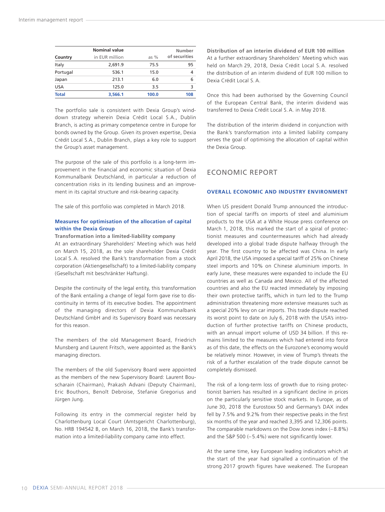<span id="page-11-0"></span>

|              | <b>Nominal value</b> |        | Number        |
|--------------|----------------------|--------|---------------|
| Country      | in EUR million       | as $%$ | of securities |
| Italy        | 2,691.9              | 75.5   | 95            |
| Portugal     | 536.1                | 15.0   | 4             |
| Japan        | 213.1                | 6.0    | 6             |
| <b>USA</b>   | 125.0                | 3.5    | R             |
| <b>Total</b> | 3,566.1              | 100.0  | 108           |

The portfolio sale is consistent with Dexia Group's winddown strategy wherein Dexia Crédit Local S.A., Dublin Branch, is acting as primary competence centre in Europe for bonds owned by the Group. Given its proven expertise, Dexia Crédit Local S.A., Dublin Branch, plays a key role to support the Group's asset management.

The purpose of the sale of this portfolio is a long-term improvement in the financial and economic situation of Dexia Kommunalbank Deutschland, in particular a reduction of concentration risks in its lending business and an improvement in its capital structure and risk-bearing capacity.

The sale of this portfolio was completed in March 2018.

#### **Measures for optimisation of the allocation of capital within the Dexia Group**

**Transformation into a limited-liability company** At an extraordinary Shareholders' Meeting which was held on March 15, 2018, as the sole shareholder Dexia Crédit Local S. A. resolved the Bank's transformation from a stock corporation (Aktiengesellschaft) to a limited-liability company (Gesellschaft mit beschränkter Haftung).

Despite the continuity of the legal entity, this transformation of the Bank entailing a change of legal form gave rise to discontinuity in terms of its executive bodies. The appointment of the managing directors of Dexia Kommunalbank Deutschland GmbH and its Supervisory Board was necessary for this reason.

The members of the old Management Board, Friedrich Munsberg and Laurent Fritsch, were appointed as the Bank's managing directors.

The members of the old Supervisory Board were appointed as the members of the new Supervisory Board: Laurent Bouscharain (Chairman), Prakash Advani (Deputy Chairman), Eric Bouthors, Benoît Debroise, Stefanie Gregorius and Jürgen Jung.

Following its entry in the commercial register held by Charlottenburg Local Court (Amtsgericht Charlottenburg), No. HRB 194542 B, on March 16, 2018, the Bank's transformation into a limited-liability company came into effect.

**Distribution of an interim dividend of EUR 100 million** At a further extraordinary Shareholders' Meeting which was held on March 29, 2018, Dexia Crédit Local S. A. resolved the distribution of an interim dividend of EUR 100 million to Dexia Crédit Local S. A.

Once this had been authorised by the Governing Council of the European Central Bank, the interim dividend was transferred to Dexia Crédit Local S. A. in May 2018.

The distribution of the interim dividend in conjunction with the Bank's transformation into a limited liability company serves the goal of optimising the allocation of capital within the Dexia Group.

## ECONOMIC REPORT

#### **OVERALL ECONOMIC AND INDUSTRY ENVIRONMENT**

When US president Donald Trump announced the introduction of special tariffs on imports of steel and aluminium products to the USA at a White House press conference on March 1, 2018, this marked the start of a spiral of protectionist measures and countermeasures which had already developed into a global trade dispute halfway through the year. The first country to be affected was China. In early April 2018, the USA imposed a special tariff of 25% on Chinese steel imports and 10% on Chinese aluminium imports. In early June, these measures were expanded to include the EU countries as well as Canada and Mexico. All of the affected countries and also the EU reacted immediately by imposing their own protective tariffs, which in turn led to the Trump administration threatening more extensive measures such as a special 20% levy on car imports. This trade dispute reached its worst point to date on July 6, 2018 with the USA's introduction of further protective tariffs on Chinese products, with an annual import volume of USD 34 billion. If this remains limited to the measures which had entered into force as of this date, the effects on the Eurozone's economy would be relatively minor. However, in view of Trump's threats the risk of a further escalation of the trade dispute cannot be completely dismissed.

The risk of a long-term loss of growth due to rising protectionist barriers has resulted in a significant decline in prices on the particularly sensitive stock markets. In Europe, as of June 30, 2018 the Eurostoxx 50 and Germany's DAX index fell by 7.5% and 9.2% from their respective peaks in the first six months of the year and reached 3,395 and 12,306 points. The comparable markdowns on the Dow Jones index (– 8.8%) and the S&P 500 (– 5.4%) were not significantly lower.

At the same time, key European leading indicators which at the start of the year had signalled a continuation of the strong 2017 growth figures have weakened. The European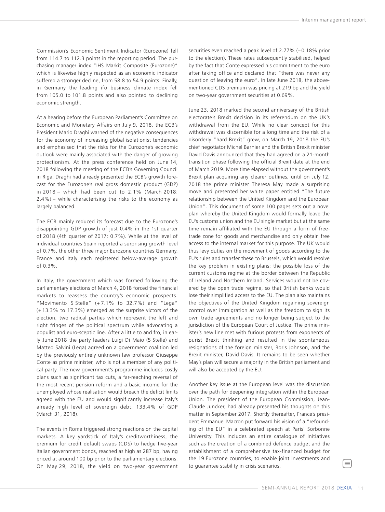Commission's Economic Sentiment Indicator (Eurozone) fell from 114.7 to 112.3 points in the reporting period. The purchasing manager index "IHS Markit Composite (Eurozone)" which is likewise highly respected as an economic indicator suffered a stronger decline, from 58.8 to 54.9 points. Finally, in Germany the leading ifo business climate index fell from 105.0 to 101.8 points and also pointed to declining economic strength.

At a hearing before the European Parliament's Committee on Economic and Monetary Affairs on July 9, 2018, the ECB's President Mario Draghi warned of the negative consequences for the economy of increasing global isolationist tendencies and emphasised that the risks for the Eurozone's economic outlook were mainly associated with the danger of growing protectionism. At the press conference held on June 14, 2018 following the meeting of the ECB's Governing Council in Riga, Draghi had already presented the ECB's growth forecast for the Eurozone's real gross domestic product (GDP) in 2018 – which had been cut to 2.1% (March 2018: 2.4%) – while characterising the risks to the economy as largely balanced.

The ECB mainly reduced its forecast due to the Eurozone's disappointing GDP growth of just 0.4% in the 1st quarter of 2018 (4th quarter of 2017: 0.7%). While at the level of individual countries Spain reported a surprising growth level of 0.7%, the other three major Eurozone countries Germany, France and Italy each registered below-average growth of 0.3%.

In Italy, the government which was formed following the parliamentary elections of March 4, 2018 forced the financial markets to reassess the country's economic prospects. "Movimento 5 Stelle" (+ 7.1% to 32.7%) and "Lega" (+ 13.3% to 17.3%) emerged as the surprise victors of the election, two radical parties which represent the left and right fringes of the political spectrum while advocating a populist and euro-sceptic line. After a little to and fro, in early June 2018 the party leaders Luigi Di Maio (5 Stelle) and Matteo Salvini (Lega) agreed on a government coalition led by the previously entirely unknown law professor Giuseppe Conte as prime minister, who is not a member of any political party. The new government's programme includes costly plans such as significant tax cuts, a far-reaching reversal of the most recent pension reform and a basic income for the unemployed whose realisation would breach the deficit limits agreed with the EU and would significantly increase Italy's already high level of sovereign debt, 133.4% of GDP (March 31, 2018).

The events in Rome triggered strong reactions on the capital markets. A key yardstick of Italy's creditworthiness, the premium for credit default swaps (CDS) to hedge five-year Italian government bonds, reached as high as 287 bp, having priced at around 100 bp prior to the parliamentary elections. On May 29, 2018, the yield on two-year government securities even reached a peak level of 2.77% (– 0.18% prior to the election). These rates subsequently stabilised, helped by the fact that Conte expressed his commitment to the euro after taking office and declared that "there was never any question of leaving the euro". In late June 2018, the abovementioned CDS premium was pricing at 219 bp and the yield on two-year government securities at 0.69%.

June 23, 2018 marked the second anniversary of the British electorate's Brexit decision in its referendum on the UK's withdrawal from the EU. While no clear concept for this withdrawal was discernible for a long time and the risk of a disorderly "hard Brexit" grew, on March 19, 2018 the EU's chief negotiator Michel Barnier and the British Brexit minister David Davis announced that they had agreed on a 21-month transition phase following the official Brexit date at the end of March 2019. More time elapsed without the government's Brexit plan acquiring any clearer outlines, until on July 12, 2018 the prime minister Theresa May made a surprising move and presented her white paper entitled "The future relationship between the United Kingdom and the European Union". This document of some 100 pages sets out a novel plan whereby the United Kingdom would formally leave the EU's customs union and the EU single market but at the same time remain affiliated with the EU through a form of freetrade zone for goods and merchandise and only obtain free access to the internal market for this purpose. The UK would thus levy duties on the movement of goods according to the EU's rules and transfer these to Brussels, which would resolve the key problem in existing plans: the possible loss of the current customs regime at the border between the Republic of Ireland and Northern Ireland. Services would not be covered by the open trade regime, so that British banks would lose their simplified access to the EU. The plan also maintains the objectives of the United Kingdom regaining sovereign control over immigration as well as the freedom to sign its own trade agreements and no longer being subject to the jurisdiction of the European Court of Justice. The prime minister's new line met with furious protests from exponents of purist Brexit thinking and resulted in the spontaneous resignations of the foreign minister, Boris Johnson, and the Brexit minister, David Davis. It remains to be seen whether May's plan will secure a majority in the British parliament and will also be accepted by the EU.

Another key issue at the European level was the discussion over the path for deepening integration within the European Union. The president of the European Commission, Jean-Claude Juncker, had already presented his thoughts on this matter in September 2017. Shortly thereafter, France's president Emmanuel Macron put forward his vision of a "refounding of the EU" in a celebrated speech at Paris' Sorbonne University. This includes an entire catalogue of initiatives such as the creation of a combined defence budget and the establishment of a comprehensive tax-financed budget for the 19 Eurozone countries, to enable joint investments and to guarantee stability in crisis scenarios.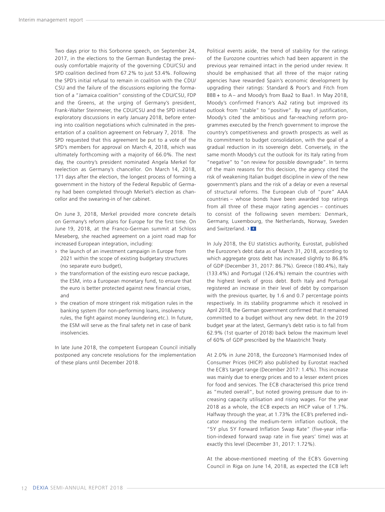Two days prior to this Sorbonne speech, on September 24, 2017, in the elections to the German Bundestag the previously comfortable majority of the governing CDU/CSU and SPD coalition declined from 67.2% to just 53.4%. Following the SPD's initial refusal to remain in coalition with the CDU/ CSU and the failure of the discussions exploring the formation of a "Jamaica coalition" consisting of the CDU/CSU, FDP and the Greens, at the urging of Germany's president, Frank-Walter Steinmeier, the CDU/CSU and the SPD initiated exploratory discussions in early January 2018, before entering into coalition negotiations which culminated in the presentation of a coalition agreement on February 7, 2018. The SPD requested that this agreement be put to a vote of the SPD's members for approval on March 4, 2018, which was ultimately forthcoming with a majority of 66.0%. The next day, the country's president nominated Angela Merkel for reelection as Germany's chancellor. On March 14, 2018, 171 days after the election, the longest process of forming a government in the history of the Federal Republic of Germany had been completed through Merkel's election as chancellor and the swearing-in of her cabinet.

On June 3, 2018, Merkel provided more concrete details on Germany's reform plans for Europe for the first time. On June 19, 2018, at the Franco-German summit at Schloss Meseberg, she reached agreement on a joint road map for increased European integration, including:

- **›** the launch of an investment campaign in Europe from 2021 within the scope of existing budgetary structures (no separate euro budget),
- **›** the transformation of the existing euro rescue package, the ESM, into a European monetary fund, to ensure that the euro is better protected against new financial crises, and
- **›** the creation of more stringent risk mitigation rules in the banking system (for non-performing loans, insolvency rules, the fight against money laundering etc.). In future, the ESM will serve as the final safety net in case of bank insolvencies.

In late June 2018, the competent European Council initially postponed any concrete resolutions for the implementation of these plans until December 2018.

Political events aside, the trend of stability for the ratings of the Eurozone countries which had been apparent in the previous year remained intact in the period under review. It should be emphasised that all three of the major rating agencies have rewarded Spain's economic development by upgrading their ratings: Standard & Poor's and Fitch from BBB + to A – and Moody's from Baa2 to Baa1. In May 2018, Moody's confirmed France's Aa2 rating but improved its outlook from "stable" to "positive". By way of justification, Moody's cited the ambitious and far-reaching reform programmes executed by the French government to improve the country's competitiveness and growth prospects as well as its commitment to budget consolidation, with the goal of a gradual reduction in its sovereign debt. Conversely, in the same month Moody's cut the outlook for its Italy rating from "negative" to "on review for possible downgrade". In terms of the main reasons for this decision, the agency cited the risk of weakening Italian budget discipline in view of the new government's plans and the risk of a delay or even a reversal of structural reforms. The European club of "pure" AAA countries – whose bonds have been awarded top ratings from all three of these major rating agencies – continues to consist of the following seven members: Denmark, Germany, Luxembourg, the Netherlands, Norway, Sweden and Switzerland. › **<sup>4</sup>**

In July 2018, the EU statistics authority, Eurostat, published the Eurozone's debt data as of March 31, 2018, according to which aggregate gross debt has increased slightly to 86.8% of GDP (December 31, 2017: 86.7%). Greece (180.4%), Italy (133.4%) and Portugal (126.4%) remain the countries with the highest levels of gross debt. Both Italy and Portugal registered an increase in their level of debt by comparison with the previous quarter, by 1.6 and 0.7 percentage points respectively. In its stability programme which it resolved in April 2018, the German government confirmed that it remained committed to a budget without any new debt. In the 2019 budget year at the latest, Germany's debt ratio is to fall from 62.9% (1st quarter of 2018) back below the maximum level of 60% of GDP prescribed by the Maastricht Treaty.

At 2.0% in June 2018, the Eurozone's Harmonised Index of Consumer Prices (HICP) also published by Eurostat reached the ECB's target range (December 2017: 1.4%). This increase was mainly due to energy prices and to a lesser extent prices for food and services. The ECB characterised this price trend as "muted overall", but noted growing pressure due to increasing capacity utilisation and rising wages. For the year 2018 as a whole, the ECB expects an HICP value of 1.7%. Halfway through the year, at 1.73% the ECB's preferred indicator measuring the medium-term inflation outlook, the "5Y plus 5Y Forward Inflation Swap Rate" (five-year inflation-indexed forward swap rate in five years' time) was at exactly this level (December 31, 2017: 1.72%).

At the above-mentioned meeting of the ECB's Governing Council in Riga on June 14, 2018, as expected the ECB left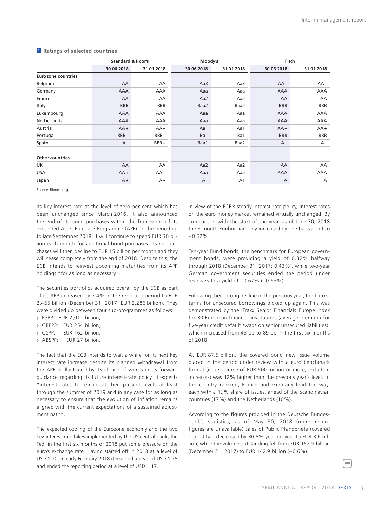|                           | <b>Standard &amp; Poor's</b> |            | Moody's        |            |            | Fitch      |
|---------------------------|------------------------------|------------|----------------|------------|------------|------------|
|                           | 30.06.2018                   | 31.01.2018 | 30.06.2018     | 31.01.2018 | 30.06.2018 | 31.01.2018 |
| <b>Eurozone countries</b> |                              |            |                |            |            |            |
| Belgium                   | AA                           | AA         | Aa3            | Aa3        | $AA-$      | $AA-$      |
| Germany                   | <b>AAA</b>                   | AAA        | Aaa            | Aaa        | <b>AAA</b> | AAA        |
| France                    | AA                           | AA         | Aa2            | Aa2        | AA         | AA         |
| Italy                     | <b>BBB</b>                   | <b>BBB</b> | Baa2           | Baa2       | <b>BBB</b> | <b>BBB</b> |
| Luxembourg                | <b>AAA</b>                   | AAA        | Aaa            | Aaa        | <b>AAA</b> | AAA        |
| Netherlands               | <b>AAA</b>                   | AAA        | Aaa            | Aaa        | <b>AAA</b> | AAA        |
| Austria                   | $AA +$                       | $AA+$      | Aa1            | Aa1        | $AA +$     | $AA+$      |
| Portugal                  | $BBB -$                      | $BBB -$    | Ba1            | Ba1        | <b>BBB</b> | <b>BBB</b> |
| Spain                     | $A -$                        | $BBB +$    | Baa1           | Baa2       | $A -$      | $A -$      |
| <b>Other countries</b>    |                              |            |                |            |            |            |
| UK                        | AA                           | AA         | Aa2            | Aa2        | AA         | AA         |
| <b>USA</b>                | $AA+$                        | $AA+$      | Aaa            | Aaa        | <b>AAA</b> | AAA        |
| Japan                     | $A +$                        | $A +$      | A <sub>1</sub> | A1         | Α          | А          |

#### **<sup>4</sup> Ratings of selected countries**

Source: Bloomberg

its key interest rate at the level of zero per cent which has been unchanged since March 2016. It also announced the end of its bond purchases within the framework of its expanded Asset Purchase Programme (APP). In the period up to late September 2018, it will continue to spend EUR 30 billion each month for additional bond purchases. Its net purchases will then decline to EUR 15 billion per month and they will cease completely from the end of 2018. Despite this, the ECB intends to reinvest upcoming maturities from its APP holdings "for as long as necessary".

The securities portfolios acquired overall by the ECB as part of its APP increased by 7.4% in the reporting period to EUR 2,455 billion (December 31, 2017: EUR 2,286 billion). They were divided up between four sub-programmes as follows:

- **›** PSPP: EUR 2,012 billion,
- **›** CBPP3: EUR 254 billion,
- **›** CSPP: EUR 162 billion,
- **›** ABSPP: EUR 27 billion.

The fact that the ECB intends to wait a while for its next key interest rate increase despite its planned withdrawal from the APP is illustrated by its choice of words in its forward guidance regarding its future interest-rate policy. It expects "interest rates to remain at their present levels at least through the summer of 2019 and in any case for as long as necessary to ensure that the evolution of inflation remains aligned with the current expectations of a sustained adjustment path".

The expected cooling of the Eurozone economy and the two key interest-rate hikes implemented by the US central bank, the Fed, in the first six months of 2018 put some pressure on the euro's exchange rate. Having started off in 2018 at a level of USD 1.20, in early February 2018 it reached a peak of USD 1.25 and ended the reporting period at a level of USD 1.17.

In view of the ECB's steady interest rate policy, interest rates on the euro money market remained virtually unchanged. By comparison with the start of the year, as of June 30, 2018 the 3-month Euribor had only increased by one basis point to  $-0.32\%$ .

Ten-year Bund bonds, the benchmark for European government bonds, were providing a yield of 0.32% halfway through 2018 (December 31, 2017: 0.43%), while two-year German government securities ended the period under review with a yield of  $-0.67\%$  ( $-0.63\%$ ).

Following their strong decline in the previous year, the banks' terms for unsecured borrowings picked up again. This was demonstrated by the iTraxx Senior Financials Europe Index for 30 European financial institutions (average premium for five-year credit default swaps on senior unsecured liabilities), which increased from 43 bp to 89 bp in the first six months of 2018.

At EUR 87.5 billion, the covered bond new issue volume placed in the period under review with a euro benchmark format (issue volume of EUR 500 million or more, including increases) was 12% higher than the previous year's level. In the country ranking, France and Germany lead the way, each with a 19% share of issues, ahead of the Scandinavian countries (17%) and the Netherlands (10%).

According to the figures provided in the Deutsche Bundesbank's statistics, as of May 30, 2018 (more recent figures are unavailable) sales of Public Pfandbriefe (covered bonds) had decreased by 30.6% year-on-year to EUR 3.6 billion, while the volume outstanding fell from EUR 152.9 billion (December 31, 2017) to EUR 142.9 billion (-6.6%).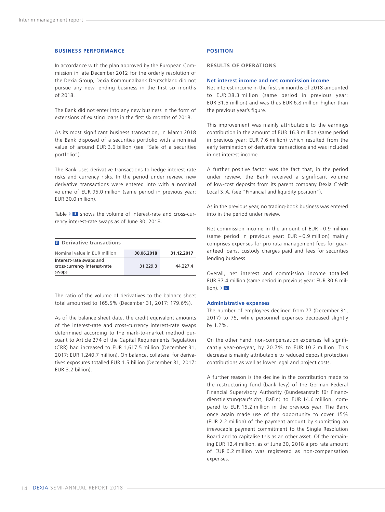#### <span id="page-15-0"></span>**BUSINESS PERFORMANCE**

In accordance with the plan approved by the European Commission in late December 2012 for the orderly resolution of the Dexia Group, Dexia Kommunalbank Deutschland did not pursue any new lending business in the first six months of 2018.

The Bank did not enter into any new business in the form of extensions of existing loans in the first six months of 2018.

As its most significant business transaction, in March 2018 the Bank disposed of a securities portfolio with a nominal value of around EUR 3.6 billion (see "Sale of a securities portfolio").

The Bank uses derivative transactions to hedge interest rate risks and currency risks. In the period under review, new derivative transactions were entered into with a nominal volume of EUR 95.0 million (same period in previous year: EUR 30.0 million).

Table › **<sup>5</sup>** shows the volume of interest-rate and cross-currency interest-rate swaps as of June 30, 2018.

| <b>E</b> Derivative transactions                                 |            |            |
|------------------------------------------------------------------|------------|------------|
| Nominal value in EUR million                                     | 30.06.2018 | 31.12.2017 |
| Interest-rate swaps and<br>cross-currency interest-rate<br>swaps | 31,229.3   | 44.227.4   |

The ratio of the volume of derivatives to the balance sheet total amounted to 165.5% (December 31, 2017: 179.6%).

As of the balance sheet date, the credit equivalent amounts of the interest-rate and cross-currency interest-rate swaps determined according to the mark-to-market method pursuant to Article 274 of the Capital Requirements Regulation (CRR) had increased to EUR 1,617.5 million (December 31, 2017: EUR 1,240.7 million). On balance, collateral for derivatives exposures totalled EUR 1.5 billion (December 31, 2017: EUR 3.2 billion).

#### **POSITION**

#### **RESULTS OF OPERATIONS**

#### **Net interest income and net commission income**

Net interest income in the first six months of 2018 amounted to EUR 38.3 million (same period in previous year: EUR 31.5 million) and was thus EUR 6.8 million higher than the previous year's figure.

This improvement was mainly attributable to the earnings contribution in the amount of EUR 16.3 million (same period in previous year: EUR 7.6 million) which resulted from the early termination of derivative transactions and was included in net interest income.

A further positive factor was the fact that, in the period under review, the Bank received a significant volume of low-cost deposits from its parent company Dexia Crédit Local S. A. (see "Financial and liquidity position").

As in the previous year, no trading-book business was entered into in the period under review.

Net commission income in the amount of EUR – 0.9 million (same period in previous year: EUR – 0.9 million) mainly comprises expenses for pro rata management fees for guaranteed loans, custody charges paid and fees for securities lending business.

Overall, net interest and commission income totalled EUR 37.4 million (same period in previous year: EUR 30.6 million). › **<sup>6</sup>**

#### **Administrative expenses**

The number of employees declined from 77 (December 31, 2017) to 75, while personnel expenses decreased slightly by 1.2%.

On the other hand, non-compensation expenses fell significantly year-on-year, by 20.7% to EUR 10.2 million. This decrease is mainly attributable to reduced deposit protection contributions as well as lower legal and project costs.

A further reason is the decline in the contribution made to the restructuring fund (bank levy) of the German Federal Financial Supervisory Authority (Bundesanstalt für Finanzdienstleistungsaufsicht, BaFin) to EUR 14.6 million, compared to EUR 15.2 million in the previous year. The Bank once again made use of the opportunity to cover 15% (EUR 2.2 million) of the payment amount by submitting an irrevocable payment commitment to the Single Resolution Board and to capitalise this as an other asset. Of the remaining EUR 12.4 million, as of June 30, 2018 a pro rata amount of EUR 6.2 million was registered as non-compensation expenses.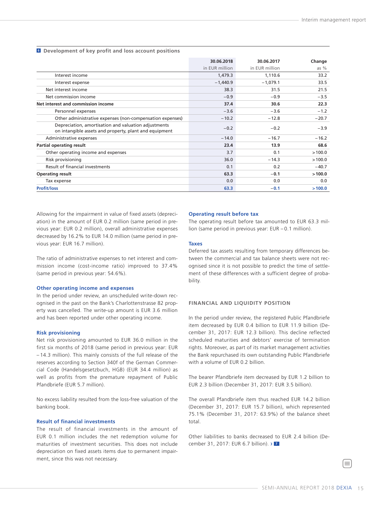|                                                                                                                | 30.06.2018     | 30.06.2017     | Change  |
|----------------------------------------------------------------------------------------------------------------|----------------|----------------|---------|
|                                                                                                                | in EUR million | in EUR million | as $%$  |
| Interest income                                                                                                | 1,479.3        | 1,110.6        | 33.2    |
| Interest expense                                                                                               | $-1,440.9$     | $-1,079.1$     | 33.5    |
| Net interest income                                                                                            | 38.3           | 31.5           | 21.5    |
| Net commission income                                                                                          | $-0.9$         | $-0.9$         | $-3.5$  |
| Net interest and commission income                                                                             | 37.4           | 30.6           | 22.3    |
| Personnel expenses                                                                                             | $-3.6$         | $-3.6$         | $-1.2$  |
| Other administrative expenses (non-compensation expenses)                                                      | $-10.2$        | $-12.8$        | $-20.7$ |
| Depreciation, amortisation and valuation adjustments<br>on intangible assets and property, plant and equipment | $-0.2$         | $-0.2$         | $-3.9$  |
| Administrative expenses                                                                                        | $-14.0$        | $-16.7$        | $-16.2$ |
| <b>Partial operating result</b>                                                                                | 23.4           | 13.9           | 68.6    |
| Other operating income and expenses                                                                            | 3.7            | 0.1            | >100.0  |
| Risk provisioning                                                                                              | 36.0           | $-14.3$        | >100.0  |
| Result of financial investments                                                                                | 0.1            | 0.2            | $-40.7$ |
| <b>Operating result</b>                                                                                        | 63.3           | $-0.1$         | >100.0  |
| Tax expense                                                                                                    | 0.0            | 0.0            | 0.0     |
| <b>Profit/loss</b>                                                                                             | 63.3           | $-0.1$         | >100.0  |

**<sup>6</sup> Development of key profit and loss account positions**

Allowing for the impairment in value of fixed assets (depreciation) in the amount of EUR 0.2 million (same period in previous year: EUR 0.2 million), overall administrative expenses decreased by 16.2% to EUR 14.0 million (same period in previous year: EUR 16.7 million).

The ratio of administrative expenses to net interest and commission income (cost-income ratio) improved to 37.4% (same period in previous year: 54.6%).

#### **Other operating income and expenses**

In the period under review, an unscheduled write-down recognised in the past on the Bank's Charlottenstrasse 82 property was cancelled. The write-up amount is EUR 3.6 million and has been reported under other operating income.

#### **Risk provisioning**

Net risk provisioning amounted to EUR 36.0 million in the first six months of 2018 (same period in previous year: EUR – 14.3 million). This mainly consists of the full release of the reserves according to Section 340f of the German Commercial Code (Handelsgesetzbuch, HGB) (EUR 34.4 million) as well as profits from the premature repayment of Public Pfandbriefe (EUR 5.7 million).

No excess liability resulted from the loss-free valuation of the banking book.

#### **Result of financial investments**

The result of financial investments in the amount of EUR 0.1 million includes the net redemption volume for maturities of investment securities. This does not include depreciation on fixed assets items due to permanent impairment, since this was not necessary.

#### **Operating result before tax**

The operating result before tax amounted to EUR 63.3 million (same period in previous year: EUR – 0.1 million).

#### **Taxes**

Deferred tax assets resulting from temporary differences between the commercial and tax balance sheets were not recognised since it is not possible to predict the time of settlement of these differences with a sufficient degree of probability.

#### **FINANCIAL AND LIQUIDITY POSITION**

In the period under review, the registered Public Pfandbriefe item decreased by EUR 0.4 billion to EUR 11.9 billion (December 31, 2017: EUR 12.3 billion). This decline reflected scheduled maturities and debtors' exercise of termination rights. Moreover, as part of its market management activities the Bank repurchased its own outstanding Public Pfandbriefe with a volume of EUR 0.2 billion.

The bearer Pfandbriefe item decreased by EUR 1.2 billion to EUR 2.3 billion (December 31, 2017: EUR 3.5 billion).

The overall Pfandbriefe item thus reached EUR 14.2 billion (December 31, 2017: EUR 15.7 billion), which represented 75.1% (December 31, 2017: 63.9%) of the balance sheet total.

Other liabilities to banks decreased to EUR 2.4 billion (December 31, 2017: EUR 6.7 billion). › **<sup>7</sup>**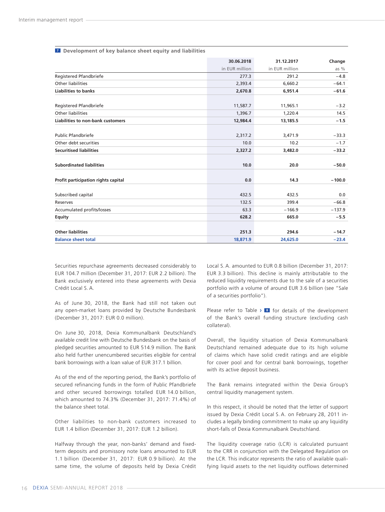| 30.06.2018     | 31.12.2017     | Change   |
|----------------|----------------|----------|
| in EUR million | in EUR million | as $%$   |
| 277.3          | 291.2          | $-4.8$   |
| 2,393.4        | 6,660.2        | $-64.1$  |
| 2,670.8        | 6,951.4        | $-61.6$  |
|                |                |          |
| 11,587.7       | 11,965.1       | $-3.2$   |
| 1,396.7        | 1,220.4        | 14.5     |
| 12,984.4       | 13,185.5       | $-1.5$   |
|                |                |          |
| 2,317.2        | 3,471.9        | $-33.3$  |
| 10.0           | 10.2           | $-1.7$   |
| 2,327.2        | 3,482.0        | $-33.2$  |
|                |                |          |
| 10.0           | 20.0           | $-50.0$  |
|                |                |          |
|                | 14.3           | $-100.0$ |
|                |                |          |
| 432.5          | 432.5          | 0.0      |
| 132.5          | 399.4          | $-66.8$  |
| 63.3           | $-166.9$       | $-137.9$ |
| 628.2          | 665.0          | $-5.5$   |
|                |                |          |
| 251.3          | 294.6          | $-14.7$  |
| 18,871.9       | 24,625.0       | $-23.4$  |
|                | 0.0            |          |

**<sup>7</sup> Development of key balance sheet equity and liabilities**

Securities repurchase agreements decreased considerably to EUR 104.7 million (December 31, 2017: EUR 2.2 billion). The Bank exclusively entered into these agreements with Dexia Crédit Local S. A.

As of June 30, 2018, the Bank had still not taken out any open-market loans provided by Deutsche Bundesbank (December 31, 2017: EUR 0.0 million).

On June 30, 2018, Dexia Kommunalbank Deutschland's available credit line with Deutsche Bundesbank on the basis of pledged securities amounted to EUR 514.9 million. The Bank also held further unencumbered securities eligible for central bank borrowings with a loan value of EUR 317.1 billion.

As of the end of the reporting period, the Bank's portfolio of secured refinancing funds in the form of Public Pfandbriefe and other secured borrowings totalled EUR 14.0 billion, which amounted to 74.3% (December 31, 2017: 71.4%) of the balance sheet total.

Other liabilities to non-bank customers increased to EUR 1.4 billion (December 31, 2017: EUR 1.2 billion).

Halfway through the year, non-banks' demand and fixedterm deposits and promissory note loans amounted to EUR 1.1 billion (December 31, 2017: EUR 0.9 billion). At the same time, the volume of deposits held by Dexia Crédit Local S. A. amounted to EUR 0.8 billion (December 31, 2017: EUR 3.3 billion). This decline is mainly attributable to the reduced liquidity requirements due to the sale of a securities portfolio with a volume of around EUR 3.6 billion (see "Sale of a securities portfolio").

Please refer to Table › **<sup>8</sup>** for details of the development of the Bank's overall funding structure (excluding cash collateral).

Overall, the liquidity situation of Dexia Kommunalbank Deutschland remained adequate due to its high volume of claims which have solid credit ratings and are eligible for cover pool and for central bank borrowings, together with its active deposit business.

The Bank remains integrated within the Dexia Group's central liquidity management system.

In this respect, it should be noted that the letter of support issued by Dexia Crédit Local S. A. on February 28, 2011 includes a legally binding commitment to make up any liquidity short-falls of Dexia Kommunalbank Deutschland.

The liquidity coverage ratio (LCR) is calculated pursuant to the CRR in conjunction with the Delegated Regulation on the LCR. This indicator represents the ratio of available qualifying liquid assets to the net liquidity outflows determined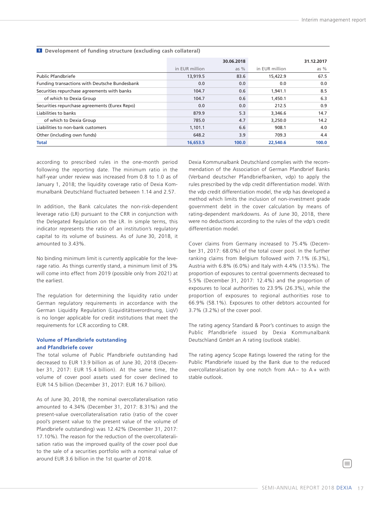|                                               |                | 30.06.2018 |                | 31.12.2017 |
|-----------------------------------------------|----------------|------------|----------------|------------|
|                                               | in EUR million | as $%$     | in EUR million | as $%$     |
| <b>Public Pfandbriefe</b>                     | 13,919.5       | 83.6       | 15,422.9       | 67.5       |
| Funding transactions with Deutsche Bundesbank | 0.0            | 0.0        | 0.0            | 0.0        |
| Securities repurchase agreements with banks   | 104.7          | 0.6        | 1,941.1        | 8.5        |
| of which to Dexia Group                       | 104.7          | 0.6        | 1,450.1        | 6.3        |
| Securities repurchase agreements (Eurex Repo) | 0.0            | 0.0        | 212.5          | 0.9        |
| Liabilities to banks                          | 879.9          | 5.3        | 3,346.6        | 14.7       |
| of which to Dexia Group                       | 785.0          | 4.7        | 3,250.0        | 14.2       |
| Liabilities to non-bank customers             | 1.101.1        | 6.6        | 908.1          | 4.0        |
| Other (including own funds)                   | 648.2          | 3.9        | 709.3          | 4.4        |
| <b>Total</b>                                  | 16,653.5       | 100.0      | 22,540.6       | 100.0      |

**<sup>8</sup> Development of funding structure (excluding cash collateral)**

according to prescribed rules in the one-month period following the reporting date. The minimum ratio in the half-year under review was increased from 0.8 to 1.0 as of January 1, 2018; the liquidity coverage ratio of Dexia Kommunalbank Deutschland fluctuated between 1.14 and 2.57.

In addition, the Bank calculates the non-risk-dependent leverage ratio (LR) pursuant to the CRR in conjunction with the Delegated Regulation on the LR. In simple terms, this indicator represents the ratio of an institution's regulatory capital to its volume of business. As of June 30, 2018, it amounted to 3.43%.

No binding minimum limit is currently applicable for the leverage ratio. As things currently stand, a minimum limit of 3% will come into effect from 2019 (possible only from 2021) at the earliest.

The regulation for determining the liquidity ratio under German regulatory requirements in accordance with the German Liquidity Regulation (Liquiditätsverordnung, LiqV) is no longer applicable for credit institutions that meet the requirements for LCR according to CRR.

#### **Volume of Pfandbriefe outstanding and Pfandbriefe cover**

The total volume of Public Pfandbriefe outstanding had decreased to EUR 13.9 billion as of June 30, 2018 (December 31, 2017: EUR 15.4 billion). At the same time, the volume of cover pool assets used for cover declined to EUR 14.5 billion (December 31, 2017: EUR 16.7 billion).

As of June 30, 2018, the nominal overcollateralisation ratio amounted to 4.34% (December 31, 2017: 8.31%) and the present-value overcollateralisation ratio (ratio of the cover pool's present value to the present value of the volume of Pfandbriefe outstanding) was 12.42% (December 31, 2017: 17.10%). The reason for the reduction of the overcollateralisation ratio was the improved quality of the cover pool due to the sale of a securities portfolio with a nominal value of around EUR 3.6 billion in the 1st quarter of 2018.

Dexia Kommunalbank Deutschland complies with the recommendation of the Association of German Pfandbrief Banks (Verband deutscher Pfandbriefbanken, vdp) to apply the rules prescribed by the vdp credit differentiation model. With the vdp credit differentiation model, the vdp has developed a method which limits the inclusion of non-investment grade government debt in the cover calculation by means of rating-dependent markdowns. As of June 30, 2018, there were no deductions according to the rules of the vdp's credit differentiation model.

Cover claims from Germany increased to 75.4% (December 31, 2017: 68.0%) of the total cover pool. In the further ranking claims from Belgium followed with 7.1% (6.3%), Austria with 6.8% (6.0%) and Italy with 4.4% (13.5%). The proportion of exposures to central governments decreased to 5.5% (December 31, 2017: 12.4%) and the proportion of exposures to local authorities to 23.9% (26.3%), while the proportion of exposures to regional authorities rose to 66.9% (58.1%). Exposures to other debtors accounted for 3.7% (3.2%) of the cover pool.

The rating agency Standard & Poor's continues to assign the Public Pfandbriefe issued by Dexia Kommunalbank Deutschland GmbH an A rating (outlook stable).

The rating agency Scope Ratings lowered the rating for the Public Pfandbriefe issued by the Bank due to the reduced overcollateralisation by one notch from  $AA -$  to  $A +$  with stable outlook.

≣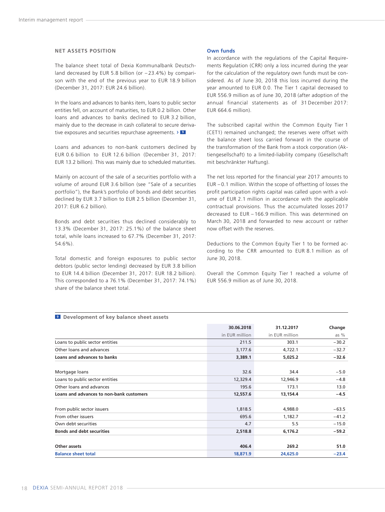#### **NET ASSETS POSITION**

The balance sheet total of Dexia Kommunalbank Deutschland decreased by EUR 5.8 billion (or – 23.4%) by comparison with the end of the previous year to EUR 18.9 billion (December 31, 2017: EUR 24.6 billion).

In the loans and advances to banks item, loans to public sector entities fell, on account of maturities, to EUR 0.2 billion. Other loans and advances to banks declined to EUR 3.2 billion, mainly due to the decrease in cash collateral to secure derivative exposures and securities repurchase agreements. › **<sup>9</sup>**

Loans and advances to non-bank customers declined by EUR 0.6 billion to EUR 12.6 billion (December 31, 2017: EUR 13.2 billion). This was mainly due to scheduled maturities.

Mainly on account of the sale of a securities portfolio with a volume of around EUR 3.6 billion (see "Sale of a securities portfolio"), the Bank's portfolio of bonds and debt securities declined by EUR 3.7 billion to EUR 2.5 billion (December 31, 2017: EUR 6.2 billion).

Bonds and debt securities thus declined considerably to 13.3% (December 31, 2017: 25.1%) of the balance sheet total, while loans increased to 67.7% (December 31, 2017: 54.6%).

Total domestic and foreign exposures to public sector debtors (public sector lending) decreased by EUR 3.8 billion to EUR 14.4 billion (December 31, 2017: EUR 18.2 billion). This corresponded to a 76.1% (December 31, 2017: 74.1%) share of the balance sheet total.

#### **Own funds**

In accordance with the regulations of the Capital Requirements Regulation (CRR) only a loss incurred during the year for the calculation of the regulatory own funds must be considered. As of June 30, 2018 this loss incurred during the year amounted to EUR 0.0. The Tier 1 capital decreased to EUR 556.9 million as of June 30, 2018 (after adoption of the annual financial statements as of 31 December 2017: EUR 664.6 million).

The subscribed capital within the Common Equity Tier 1 (CET1) remained unchanged; the reserves were offset with the balance sheet loss carried forward in the course of the transformation of the Bank from a stock corporation (Aktiengesellschaft) to a limited-liability company (Gesellschaft mit beschränkter Haftung).

The net loss reported for the financial year 2017 amounts to EUR – 0.1 million. Within the scope of offsetting of losses the profit participation rights capital was called upon with a volume of EUR 2.1 million in accordance with the applicable contractual provisions. Thus the accumulated losses 2017 decreased to EUR – 166.9 million. This was determined on March 30, 2018 and forwarded to new account or rather now offset with the reserves.

Deductions to the Common Equity Tier 1 to be formed according to the CRR amounted to EUR 8.1 million as of June 30, 2018.

Overall the Common Equity Tier 1 reached a volume of EUR 556.9 million as of June 30, 2018.

| <b>P</b> Development of key balance sheet assets |                |                |         |
|--------------------------------------------------|----------------|----------------|---------|
|                                                  | 30.06.2018     | 31.12.2017     | Change  |
|                                                  | in EUR million | in EUR million | as $%$  |
| Loans to public sector entities                  | 211.5          | 303.1          | $-30.2$ |
| Other loans and advances                         | 3,177.6        | 4,722.1        | $-32.7$ |
| Loans and advances to banks                      | 3,389.1        | 5,025.2        | $-32.6$ |
| Mortgage loans                                   | 32.6           | 34.4           | $-5.0$  |
| Loans to public sector entities                  | 12,329.4       | 12,946.9       | $-4.8$  |
| Other loans and advances                         | 195.6          | 173.1          | 13.0    |
| Loans and advances to non-bank customers         | 12,557.6       | 13,154.4       | $-4.5$  |
| From public sector issuers                       | 1,818.5        | 4,988.0        | $-63.5$ |
| From other issuers                               | 695.6          | 1,182.7        | $-41.2$ |
| Own debt securities                              | 4.7            | 5.5            | $-15.0$ |
| <b>Bonds and debt securities</b>                 | 2,518.8        | 6,176.2        | $-59.2$ |
| Other assets                                     | 406.4          | 269.2          | 51.0    |
| <b>Balance sheet total</b>                       | 18,871.9       | 24,625.0       | $-23.4$ |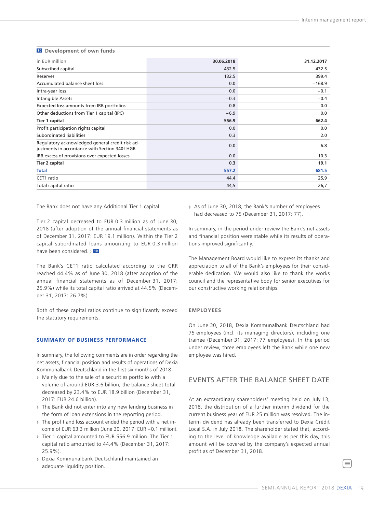| <b>LU</b> Development of own funds                                                               |            |            |
|--------------------------------------------------------------------------------------------------|------------|------------|
| in EUR million                                                                                   | 30.06.2018 | 31.12.2017 |
| Subscribed capital                                                                               | 432.5      | 432.5      |
| Reserves                                                                                         | 132.5      | 399.4      |
| Accumulated balance sheet loss                                                                   | 0.0        | $-168.9$   |
| Intra-year loss                                                                                  | 0.0        | $-0.1$     |
| Intangible Assets                                                                                | $-0.3$     | $-0.4$     |
| Expected loss amounts from IRB portfolios                                                        | $-0.8$     | 0.0        |
| Other deductions from Tier 1 capital (IPC)                                                       | $-6.9$     | 0.0        |
| <b>Tier 1 capital</b>                                                                            | 556.9      | 662.4      |
| Profit participation rights capital                                                              | 0.0        | 0.0        |
| Subordinated liabilities                                                                         | 0.3        | 2.0        |
| Regulatory acknowledged general credit risk ad-<br>justments in accordance with Section 340f HGB | 0.0        | 6.8        |
| IRB excess of provisions over expected losses                                                    | 0.0        | 10.3       |
| <b>Tier 2 capital</b>                                                                            | 0.3        | 19.1       |
| <b>Total</b>                                                                                     | 557.2      | 681.5      |
| CET1 ratio                                                                                       | 44,4       | 25,9       |
| Total capital ratio                                                                              | 44,5       | 26,7       |

The Bank does not have any Additional Tier 1 capital.

<span id="page-20-0"></span>**10 Development of own funds**

Tier 2 capital decreased to EUR 0.3 million as of June 30, 2018 (after adoption of the annual financial statements as of December 31, 2017: EUR 19.1 million). Within the Tier 2 capital subordinated loans amounting to EUR 0.3 million have been considered. › **<sup>10</sup>**

The Bank's CET1 ratio calculated according to the CRR reached 44.4% as of June 30, 2018 (after adoption of the annual financial statements as of December 31, 2017: 25.9%) while its total capital ratio arrived at 44.5% (December 31, 2017: 26.7%).

Both of these capital ratios continue to significantly exceed the statutory requirements.

#### **SUMMARY OF BUSINESS PERFORMANCE**

In summary, the following comments are in order regarding the net assets, financial position and results of operations of Dexia Kommunalbank Deutschland in the first six months of 2018:

- **›** Mainly due to the sale of a securities portfolio with a volume of around EUR 3.6 billion, the balance sheet total decreased by 23.4% to EUR 18.9 billion (December 31, 2017: EUR 24.6 billion).
- **›** The Bank did not enter into any new lending business in the form of loan extensions in the reporting period.
- **›** The profit and loss account ended the period with a net income of EUR 63.3 million (June 30, 2017: EUR – 0.1 million).
- **›** Tier 1 capital amounted to EUR 556.9 million. The Tier 1 capital ratio amounted to 44.4% (December 31, 2017: 25.9%).
- **›** Dexia Kommunalbank Deutschland maintained an adequate liquidity position.

**›** As of June 30, 2018, the Bank's number of employees had decreased to 75 (December 31, 2017: 77).

In summary, in the period under review the Bank's net assets and financial position were stable while its results of operations improved significantly.

The Management Board would like to express its thanks and appreciation to all of the Bank's employees for their considerable dedication. We would also like to thank the works council and the representative body for senior executives for our constructive working relationships.

### **EMPLOYEES**

On June 30, 2018, Dexia Kommunalbank Deutschland had 75 employees (incl. its managing directors), including one trainee (December 31, 2017: 77 employees). In the period under review, three employees left the Bank while one new employee was hired.

## EVENTS AFTER THE BALANCE SHEET DATE

At an extraordinary shareholders' meeting held on July 13, 2018, the distribution of a further interim dividend for the current business year of EUR 25 million was resolved. The interim dividend has already been transferred to Dexia Crédit Local S.A. in July 2018. The shareholder stated that, according to the level of knowledge available as per this day, this amount will be covered by the company's expected annual profit as of December 31, 2018.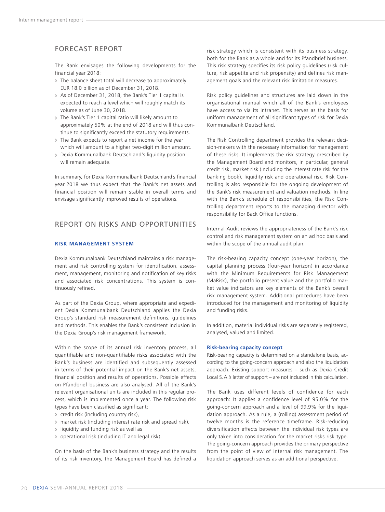# <span id="page-21-0"></span>FORECAST REPORT

The Bank envisages the following developments for the financial year 2018:

- **›** The balance sheet total will decrease to approximately EUR 18.0 billion as of December 31, 2018.
- **›** As of December 31, 2018, the Bank's Tier 1 capital is expected to reach a level which will roughly match its volume as of June 30, 2018.
- **›** The Bank's Tier 1 capital ratio will likely amount to approximately 50% at the end of 2018 and will thus continue to significantly exceed the statutory requirements.
- **›** The Bank expects to report a net income for the year which will amount to a higher two-digit million amount.
- **›** Dexia Kommunalbank Deutschland's liquidity position will remain adequate.

In summary, for Dexia Kommunalbank Deutschland's financial year 2018 we thus expect that the Bank's net assets and financial position will remain stable in overall terms and envisage significantly improved results of operations.

## REPORT ON RISKS AND OPPORTUNITIES

#### **RISK MANAGEMENT SYSTEM**

Dexia Kommunalbank Deutschland maintains a risk management and risk controlling system for identification, assessment, management, monitoring and notification of key risks and associated risk concentrations. This system is continuously refined.

As part of the Dexia Group, where appropriate and expedient Dexia Kommunalbank Deutschland applies the Dexia Group's standard risk measurement definitions, guidelines and methods. This enables the Bank's consistent inclusion in the Dexia Group's risk management framework.

Within the scope of its annual risk inventory process, all quantifiable and non-quantifiable risks associated with the Bank's business are identified and subsequently assessed in terms of their potential impact on the Bank's net assets, financial position and results of operations. Possible effects on Pfandbrief business are also analysed. All of the Bank's relevant organisational units are included in this regular process, which is implemented once a year. The following risk types have been classified as significant:

- **›** credit risk (including country risk),
- **›** market risk (including interest rate risk and spread risk),
- **›** liquidity and funding risk as well as
- **›** operational risk (including IT and legal risk).

On the basis of the Bank's business strategy and the results of its risk inventory, the Management Board has defined a

risk strategy which is consistent with its business strategy, both for the Bank as a whole and for its Pfandbrief business. This risk strategy specifies its risk policy guidelines (risk culture, risk appetite and risk propensity) and defines risk management goals and the relevant risk limitation measures.

Risk policy guidelines and structures are laid down in the organisational manual which all of the Bank's employees have access to via its intranet. This serves as the basis for uniform management of all significant types of risk for Dexia Kommunalbank Deutschland.

The Risk Controlling department provides the relevant decision-makers with the necessary information for management of these risks. It implements the risk strategy prescribed by the Management Board and monitors, in particular, general credit risk, market risk (including the interest rate risk for the banking book), liquidity risk and operational risk. Risk Controlling is also responsible for the ongoing development of the Bank's risk measurement and valuation methods. In line with the Bank's schedule of responsibilities, the Risk Controlling department reports to the managing director with responsibility for Back Office functions.

Internal Audit reviews the appropriateness of the Bank's risk control and risk management system on an ad hoc basis and within the scope of the annual audit plan.

The risk-bearing capacity concept (one-year horizon), the capital planning process (four-year horizon) in accordance with the Minimum Requirements for Risk Management (MaRisk), the portfolio present value and the portfolio market value indicators are key elements of the Bank's overall risk management system. Additional procedures have been introduced for the management and monitoring of liquidity and funding risks.

In addition, material individual risks are separately registered, analysed, valued and limited.

#### **Risk-bearing capacity concept**

Risk-bearing capacity is determined on a standalone basis, according to the going-concern approach and also the liquidation approach. Existing support measures – such as Dexia Crédit Local S.A.'s letter of support – are not included in this calculation.

The Bank uses different levels of confidence for each approach: It applies a confidence level of 95.0% for the going-concern approach and a level of 99.9% for the liquidation approach. As a rule, a (rolling) assessment period of twelve months is the reference timeframe. Risk-reducing diversification effects between the individual risk types are only taken into consideration for the market risks risk type. The going-concern approach provides the primary perspective from the point of view of internal risk management. The liquidation approach serves as an additional perspective.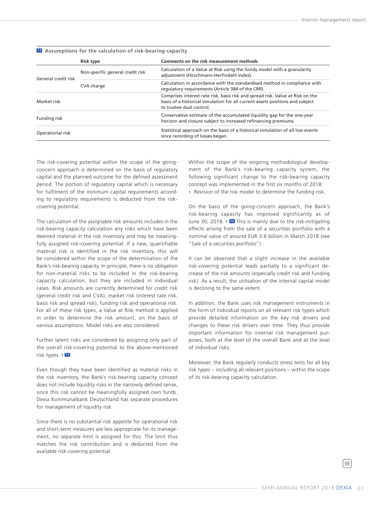|                     | <b>Risk type</b>                 | Comments on the risk measurement methods                                                                                                                                                    |
|---------------------|----------------------------------|---------------------------------------------------------------------------------------------------------------------------------------------------------------------------------------------|
| General credit risk | Non-specific general credit risk | Calculation of a Value at Risk using the Gordy model with a granularity<br>adjustment (Hirschmann-Herfindahl index).                                                                        |
|                     | CVA charge                       | Calculation in accordance with the standardised method in compliance with<br>regulatory requirements (Article 384 of the CRR).                                                              |
| Market risk         |                                  | Comprises interest rate risk, basis risk and spread risk. Value at Risk on the<br>basis of a historical simulation for all current assets positions and subject<br>to trustee dual control. |
| Funding risk        |                                  | Conservative estimate of the accumulated liquidity gap for the one-year<br>horizon and closure subject to increased refinancing premiums.                                                   |
| Operational risk    |                                  | Statistical approach on the basis of a historical simulation of all loss events<br>since recording of losses began.                                                                         |

**<sup>11</sup> Assumptions for the calculation of risk-bearing capacity**

The risk-covering potential within the scope of the goingconcern approach is determined on the basis of regulatory capital and the planned outcome for the defined assessment period. The portion of regulatory capital which is necessary for fulfilment of the minimum capital requirements according to regulatory requirements is deducted from the riskcovering potential.

The calculation of the assignable risk amounts includes in the risk-bearing capacity calculation any risks which have been deemed material in the risk inventory and may be meaningfully assigned risk-covering potential. If a new, quantifiable material risk is identified in the risk inventory, this will be considered within the scope of the determination of the Bank's risk-bearing capacity. In principle, there is no obligation for non-material risks to be included in the risk-bearing capacity calculation, but they are included in individual cases. Risk amounts are currently determined for credit risk (general credit risk and CVA), market risk (interest rate risk, basis risk and spread risk), funding risk and operational risk. For all of these risk types, a Value at Risk method is applied in order to determine the risk amount, on the basis of various assumptions. Model risks are also considered.

Further latent risks are considered by assigning only part of the overall risk-covering potential to the above-mentioned risk types. › **<sup>11</sup>**

Even though they have been identified as material risks in the risk inventory, the Bank's risk-bearing capacity concept does not include liquidity risks in the narrowly defined sense, since this risk cannot be meaningfully assigned own funds. Dexia Kommunalbank Deutschland has separate procedures for management of liquidity risk.

Since there is no substantial risk appetite for operational risk and short-term measures are less appropriate for its management, no separate limit is assigned for this. The limit thus matches the risk contribution and is deducted from the available risk-covering potential.

Within the scope of the ongoing methodological development of the Bank's risk-bearing capacity system, the following significant change to the risk-bearing capacity concept was implemented in the first six months of 2018: **›** Revision of the risk model to determine the funding risk.

On the basis of the going-concern approach, the Bank's risk-bearing capacity has improved significantly as of June 30, 2018. › **<sup>12</sup>**This is mainly due to the risk-mitigating effects arising from the sale of a securities portfolio with a nominal value of around EUR 3.6 billion in March 2018 (see "Sale of a securities portfolio").

It can be observed that a slight increase in the available risk-covering potential leads partially to a significant decrease of the risk amounts (especially credit risk and funding risk). As a result, the utilisation of the internal capital model is declining to the same extent.

In addition, the Bank uses risk management instruments in the form of individual reports on all relevant risk types which provide detailed information on the key risk drivers and changes to these risk drivers over time. They thus provide important information for internal risk management purposes, both at the level of the overall Bank and at the level of individual risks.

Moreover, the Bank regularly conducts stress tests for all key risk types – including all relevant positions – within the scope of its risk-bearing capacity calculation.

≣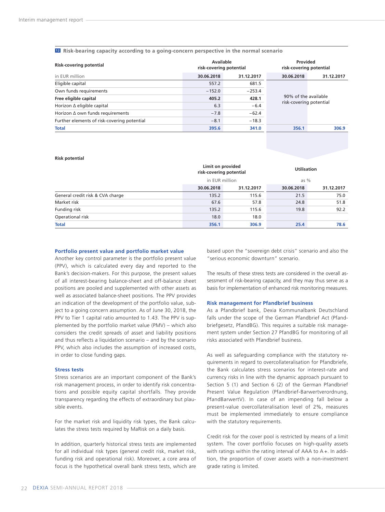#### **12 Risk-bearing capacity according to a going-concern perspective in the normal scenario**

| <b>Risk-covering potential</b>              | Available<br>risk-covering potential |            | Provided<br>risk-covering potential |                      |
|---------------------------------------------|--------------------------------------|------------|-------------------------------------|----------------------|
| in EUR million                              | 30.06.2018                           | 31.12.2017 | 30.06.2018                          | 31.12.2017           |
| Eligible capital                            | 557.2                                | 681.5      |                                     |                      |
| Own funds requirements                      | $-152.0$                             | $-253.4$   |                                     | 90% of the available |
| Free eligible capital                       | 405.2                                | 428.1      |                                     |                      |
| Horizon ∆ eligible capital                  | 6.3                                  | $-6.4$     | risk-covering potential             |                      |
| Horizon $\Delta$ own funds requirements     | $-7.8$                               | $-62.4$    |                                     |                      |
| Further elements of risk-covering potential | $-8.1$                               | $-18.3$    |                                     |                      |
| <b>Total</b>                                | 395.6                                | 341.0      | 356.1                               | 306.9                |

#### **Risk potential**

|                                  | Limit on provided<br>risk-covering potential |            | <b>Utilisation</b> |            |  |
|----------------------------------|----------------------------------------------|------------|--------------------|------------|--|
|                                  | in EUR million                               |            | as $%$             |            |  |
|                                  | 30.06.2018                                   | 31.12.2017 | 30.06.2018         | 31.12.2017 |  |
| General credit risk & CVA charge | 135.2                                        | 115.6      | 21.5               | 75.0       |  |
| Market risk                      | 67.6                                         | 57.8       | 24.8               | 51.8       |  |
| Funding risk                     | 135.2                                        | 115.6      | 19.8               | 92.2       |  |
| Operational risk                 | 18.0                                         | 18.0       |                    |            |  |
| <b>Total</b>                     | 356.1                                        | 306.9      | 25.4               | 78.6       |  |

#### **Portfolio present value and portfolio market value**

Another key control parameter is the portfolio present value (PPV), which is calculated every day and reported to the Bank's decision-makers. For this purpose, the present values of all interest-bearing balance-sheet and off-balance sheet positions are pooled and supplemented with other assets as well as associated balance-sheet positions. The PPV provides an indication of the development of the portfolio value, subject to a going concern assumption. As of June 30, 2018, the PPV to Tier 1 capital ratio amounted to 1.43. The PPV is supplemented by the portfolio market value (PMV) – which also considers the credit spreads of asset and liability positions and thus reflects a liquidation scenario – and by the scenario PPV, which also includes the assumption of increased costs, in order to close funding gaps.

#### **Stress tests**

Stress scenarios are an important component of the Bank's risk management process, in order to identify risk concentrations and possible equity capital shortfalls. They provide transparency regarding the effects of extraordinary but plausible events.

For the market risk and liquidity risk types, the Bank calculates the stress tests required by MaRisk on a daily basis.

In addition, quarterly historical stress tests are implemented for all individual risk types (general credit risk, market risk, funding risk and operational risk). Moreover, a core area of focus is the hypothetical overall bank stress tests, which are

based upon the "sovereign debt crisis" scenario and also the "serious economic downturn" scenario.

The results of these stress tests are considered in the overall assessment of risk-bearing capacity, and they may thus serve as a basis for implementation of enhanced risk monitoring measures.

#### **Risk management for Pfandbrief business**

As a Pfandbrief bank, Dexia Kommunalbank Deutschland falls under the scope of the German Pfandbrief Act (Pfandbriefgesetz, PfandBG). This requires a suitable risk management system under Section 27 PfandBG for monitoring of all risks associated with Pfandbrief business.

As well as safeguarding compliance with the statutory requirements in regard to overcollateralisation for Pfandbriefe, the Bank calculates stress scenarios for interest-rate and currency risks in line with the dynamic approach pursuant to Section 5 (1) and Section 6 (2) of the German Pfandbrief Present Value Regulation (Pfandbrief-Barwertverordnung, PfandBarwertV). In case of an impending fall below a present-value overcollateralisation level of 2%, measures must be implemented immediately to ensure compliance with the statutory requirements.

Credit risk for the cover pool is restricted by means of a limit system. The cover portfolio focuses on high-quality assets with ratings within the rating interval of AAA to A +. In addition, the proportion of cover assets with a non-investment grade rating is limited.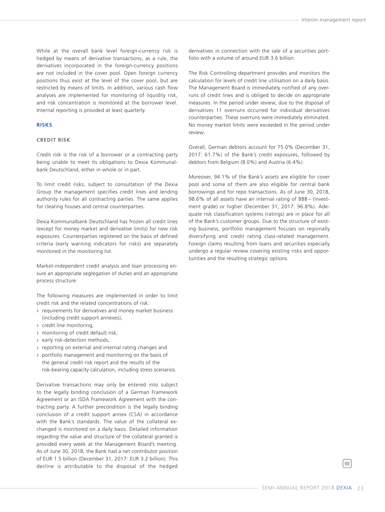<span id="page-24-0"></span>While at the overall bank level foreign-currency risk is hedged by means of derivative transactions, as a rule, the derivatives incorporated in the foreign-currency positions are not included in the cover pool. Open foreign currency positions thus exist at the level of the cover pool, but are restricted by means of limits. In addition, various cash flow analyses are implemented for monitoring of liquidity risk, and risk concentration is monitored at the borrower level. Internal reporting is provided at least quarterly.

#### **RISKS**

#### **CREDIT RISK**

Credit risk is the risk of a borrower or a contracting party being unable to meet its obligations to Dexia Kommunalbank Deutschland, either in whole or in part.

To limit credit risks, subject to consultation of the Dexia Group the management specifies credit lines and lending authority rules for all contracting parties. The same applies for clearing houses and central counterparties.

Dexia Kommunalbank Deutschland has frozen all credit lines (except for money market and derivative limits) for new risk exposures. Counterparties registered on the basis of defined criteria (early warning indicators for risks) are separately monitored in the monitoring list.

Market-independent credit analysis and loan processing ensure an appropriate segregation of duties and an appropriate process structure.

The following measures are implemented in order to limit credit risk and the related concentrations of risk:

- **›** requirements for derivatives and money market business (including credit support annexes),
- **›** credit line monitoring,
- **›** monitoring of credit default risk,
- **›** early risk-detection methods,
- **›** reporting on external and internal rating changes and
- **›** portfolio management and monitoring on the basis of the general credit risk report and the results of the risk-bearing capacity calculation, including stress scenarios.

Derivative transactions may only be entered into subject to the legally binding conclusion of a German Framework Agreement or an ISDA Framework Agreement with the contracting party. A further precondition is the legally binding conclusion of a credit support annex (CSA) in accordance with the Bank's standards. The value of the collateral exchanged is monitored on a daily basis. Detailed information regarding the value and structure of the collateral granted is provided every week at the Management Board's meeting. As of June 30, 2018, the Bank had a net contributor position of EUR 1.5 billion (December 31, 2017: EUR 3.2 billion). This decline is attributable to the disposal of the hedged derivatives in connection with the sale of a securities portfolio with a volume of around EUR 3.6 billion.

The Risk Controlling department provides and monitors the calculation for levels of credit line utilisation on a daily basis. The Management Board is immediately notified of any overruns of credit lines and is obliged to decide on appropriate measures. In the period under review, due to the disposal of derivatives 11 overruns occurred for individual derivatives counterparties. These overruns were immediately eliminated. No money market limits were exceeded in the period under review.

Overall, German debtors account for 75.0% (December 31, 2017: 61.7%) of the Bank's credit exposures, followed by debtors from Belgium (8.0%) and Austria (6.4%).

Moreover, 94.1% of the Bank's assets are eligible for cover pool and some of them are also eligible for central bank borrowings and for repo transactions. As of June 30, 2018, 98.6% of all assets have an internal rating of BBB – (investment grade) or higher (December 31, 2017: 96.8%). Adequate risk classification systems (ratings) are in place for all of the Bank's customer groups. Due to the structure of existing business, portfolio management focuses on regionally diversifying and credit rating class-related management. Foreign claims resulting from loans and securities especially undergo a regular review covering existing risks and opportunities and the resulting strategic options.

≣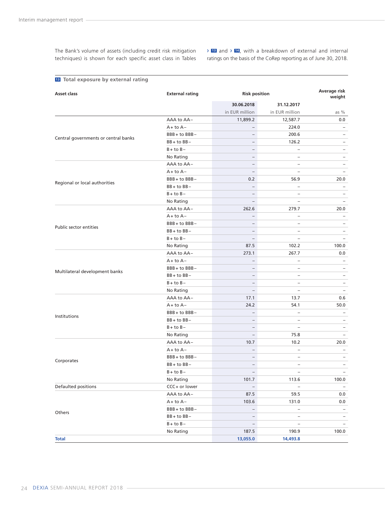The Bank's volume of assets (including credit risk mitigation techniques) is shown for each specific asset class in Tables › **<sup>13</sup>** and › **<sup>14</sup>** , with a breakdown of external and internal ratings on the basis of the CoRep reporting as of June 30, 2018.

| Asset class                                                                                                                                                                                                                                                                                                                                                                                                                                                         | <b>External rating</b> |                          | <b>Risk position</b>     |                                                      |  |
|---------------------------------------------------------------------------------------------------------------------------------------------------------------------------------------------------------------------------------------------------------------------------------------------------------------------------------------------------------------------------------------------------------------------------------------------------------------------|------------------------|--------------------------|--------------------------|------------------------------------------------------|--|
|                                                                                                                                                                                                                                                                                                                                                                                                                                                                     |                        | 30.06.2018               | 31.12.2017               |                                                      |  |
|                                                                                                                                                                                                                                                                                                                                                                                                                                                                     |                        | in EUR million           | in EUR million           | as $%$                                               |  |
|                                                                                                                                                                                                                                                                                                                                                                                                                                                                     | AAA to AA-             | 11,899.2                 | 12,587.7                 | 0.0                                                  |  |
|                                                                                                                                                                                                                                                                                                                                                                                                                                                                     | $A + to A -$           | $\overline{\phantom{a}}$ | 224.0                    |                                                      |  |
|                                                                                                                                                                                                                                                                                                                                                                                                                                                                     | BBB + to BBB-          | $\overline{\phantom{a}}$ | 200.6                    | $\overline{\phantom{0}}$                             |  |
| Central governments or central banks<br>Corporates                                                                                                                                                                                                                                                                                                                                                                                                                  | $BB + to BB -$         | $\overline{\phantom{m}}$ | 126.2                    | $\qquad \qquad -$                                    |  |
|                                                                                                                                                                                                                                                                                                                                                                                                                                                                     | $B + to B -$           | $\overline{\phantom{m}}$ | $\qquad \qquad -$        | $\overline{\phantom{a}}$                             |  |
|                                                                                                                                                                                                                                                                                                                                                                                                                                                                     | No Rating              | $\qquad \qquad -$        | $\overline{\phantom{0}}$ | $\qquad \qquad -$                                    |  |
|                                                                                                                                                                                                                                                                                                                                                                                                                                                                     | AAA to AA-             | $\qquad \qquad -$        | $\overline{\phantom{0}}$ | $\overline{\phantom{a}}$                             |  |
|                                                                                                                                                                                                                                                                                                                                                                                                                                                                     | $A + to A -$           | $\qquad \qquad -$        | $\overline{\phantom{a}}$ | $\qquad \qquad -$                                    |  |
|                                                                                                                                                                                                                                                                                                                                                                                                                                                                     | BBB+to BBB-            | 0.2                      | 56.9                     | 20.0                                                 |  |
|                                                                                                                                                                                                                                                                                                                                                                                                                                                                     | $BB + to BB -$         | $\overline{\phantom{0}}$ | $\overline{\phantom{a}}$ | $\overline{\phantom{a}}$                             |  |
|                                                                                                                                                                                                                                                                                                                                                                                                                                                                     |                        | $\qquad \qquad -$        | $\qquad \qquad -$        | $\overline{\phantom{m}}$                             |  |
|                                                                                                                                                                                                                                                                                                                                                                                                                                                                     |                        | $\overline{\phantom{a}}$ | $\qquad \qquad -$        | $\overline{\phantom{a}}$                             |  |
|                                                                                                                                                                                                                                                                                                                                                                                                                                                                     | AAA to AA-             | 262.6                    | 279.7                    | 20.0                                                 |  |
|                                                                                                                                                                                                                                                                                                                                                                                                                                                                     |                        |                          | $\overline{\phantom{0}}$ |                                                      |  |
| Public sector entities                                                                                                                                                                                                                                                                                                                                                                                                                                              | BBB+ to BBB-           | $\overline{\phantom{a}}$ | $\overline{\phantom{0}}$ | $\overline{\phantom{0}}$                             |  |
|                                                                                                                                                                                                                                                                                                                                                                                                                                                                     |                        | $\overline{\phantom{m}}$ | $\overline{\phantom{0}}$ | $\overline{\phantom{0}}$                             |  |
|                                                                                                                                                                                                                                                                                                                                                                                                                                                                     |                        | $\overline{\phantom{a}}$ | $\qquad \qquad -$        |                                                      |  |
|                                                                                                                                                                                                                                                                                                                                                                                                                                                                     |                        | 87.5                     | 102.2                    | 100.0                                                |  |
|                                                                                                                                                                                                                                                                                                                                                                                                                                                                     |                        | 273.1                    | 267.7                    | 0.0                                                  |  |
|                                                                                                                                                                                                                                                                                                                                                                                                                                                                     |                        | $\overline{\phantom{0}}$ | $\overline{\phantom{0}}$ | $\overline{\phantom{0}}$                             |  |
|                                                                                                                                                                                                                                                                                                                                                                                                                                                                     |                        | $\overline{\phantom{a}}$ | $\overline{\phantom{m}}$ | $\overline{\phantom{a}}$                             |  |
|                                                                                                                                                                                                                                                                                                                                                                                                                                                                     |                        | $\overline{\phantom{a}}$ | $\overline{\phantom{m}}$ |                                                      |  |
|                                                                                                                                                                                                                                                                                                                                                                                                                                                                     |                        | $\overline{\phantom{a}}$ |                          | $\overline{\phantom{a}}$                             |  |
|                                                                                                                                                                                                                                                                                                                                                                                                                                                                     |                        | $\overline{\phantom{a}}$ | -<br>÷                   | $\overline{\phantom{a}}$<br>$\overline{\phantom{a}}$ |  |
|                                                                                                                                                                                                                                                                                                                                                                                                                                                                     |                        |                          |                          |                                                      |  |
|                                                                                                                                                                                                                                                                                                                                                                                                                                                                     |                        | 17.1                     | 13.7                     | 0.6                                                  |  |
|                                                                                                                                                                                                                                                                                                                                                                                                                                                                     |                        | 24.2                     | 54.1                     | 50.0                                                 |  |
| Institutions                                                                                                                                                                                                                                                                                                                                                                                                                                                        |                        | $\overline{\phantom{a}}$ | $\qquad \qquad -$        | $\overline{\phantom{a}}$                             |  |
| Regional or local authorities<br>$B + to B -$<br>No Rating<br>$A + to A -$<br>$BB + to BB -$<br>$B + to B -$<br>No Rating<br>AAA to AA-<br>$A + to A -$<br>BBB + to BBB-<br>Multilateral development banks<br>$BB + to BB -$<br>$B + to B -$<br>No Rating<br>AAA to AA-<br>$A + to A -$<br>BBB + to BBB-<br>$BB + to BB -$<br>$B + to B -$<br>No Rating<br>AAA to AA-<br>$A + to A -$<br>$B + to B -$<br>No Rating<br>Defaulted positions<br>$A + to A -$<br>Others |                        | $\overline{\phantom{m}}$ | $\overline{\phantom{0}}$ | $\overline{\phantom{0}}$                             |  |
|                                                                                                                                                                                                                                                                                                                                                                                                                                                                     |                        | $\overline{\phantom{m}}$ | $\qquad \qquad -$        | $\overline{\phantom{a}}$                             |  |
|                                                                                                                                                                                                                                                                                                                                                                                                                                                                     |                        | $\overline{\phantom{a}}$ | 75.8                     | $\overline{\phantom{a}}$                             |  |
|                                                                                                                                                                                                                                                                                                                                                                                                                                                                     |                        | 10.7                     | 10.2                     | 20.0                                                 |  |
|                                                                                                                                                                                                                                                                                                                                                                                                                                                                     |                        | $\overline{\phantom{0}}$ | ÷                        |                                                      |  |
|                                                                                                                                                                                                                                                                                                                                                                                                                                                                     | BBB+to BBB-            | $\overline{\phantom{a}}$ | $\overline{\phantom{0}}$ | $\overline{\phantom{a}}$                             |  |
|                                                                                                                                                                                                                                                                                                                                                                                                                                                                     | $BB + to BB -$         | $\qquad \qquad -$        | -                        | $\qquad \qquad -$                                    |  |
|                                                                                                                                                                                                                                                                                                                                                                                                                                                                     |                        | $\qquad \qquad -$        | $\overline{\phantom{0}}$ | $\overline{\phantom{a}}$                             |  |
|                                                                                                                                                                                                                                                                                                                                                                                                                                                                     |                        | 101.7                    | 113.6                    | 100.0                                                |  |
|                                                                                                                                                                                                                                                                                                                                                                                                                                                                     | CCC+ or lower          | $\qquad \qquad -$        | $\overline{\phantom{0}}$ | $\overline{\phantom{m}}$                             |  |
|                                                                                                                                                                                                                                                                                                                                                                                                                                                                     | AAA to AA-             | 87.5                     | 59.5                     | 0.0                                                  |  |
|                                                                                                                                                                                                                                                                                                                                                                                                                                                                     |                        | 103.6                    | 131.0                    | 0.0                                                  |  |
|                                                                                                                                                                                                                                                                                                                                                                                                                                                                     | BBB + to BBB-          | $\overline{\phantom{a}}$ | $\qquad \qquad -$        | $\overline{\phantom{m}}$                             |  |
|                                                                                                                                                                                                                                                                                                                                                                                                                                                                     | $BB + to BB -$         | $\overline{\phantom{a}}$ | $\overline{\phantom{a}}$ | $\overline{\phantom{a}}$                             |  |
|                                                                                                                                                                                                                                                                                                                                                                                                                                                                     | $B + to B -$           | $\overline{\phantom{a}}$ | $\qquad \qquad -$        | $\overline{\phantom{a}}$                             |  |
|                                                                                                                                                                                                                                                                                                                                                                                                                                                                     | No Rating              | 187.5                    | 190.9                    | 100.0                                                |  |
| <b>Total</b>                                                                                                                                                                                                                                                                                                                                                                                                                                                        |                        | 13,055.0                 | 14,493.8                 |                                                      |  |

### **13 Total exposure by external rating**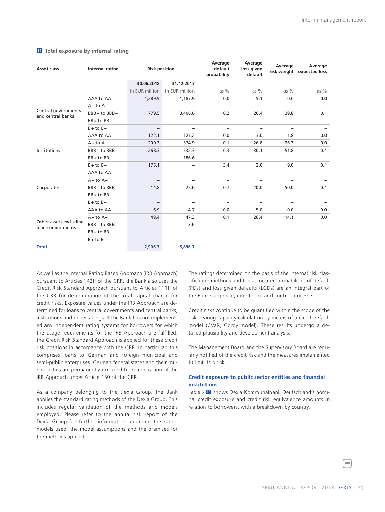| Asset class                                | Internal rating | <b>Risk position</b>     |                               | Average<br>default<br>probability | Average<br>loss given<br>default | Average                  | Average<br>risk weight expected loss |
|--------------------------------------------|-----------------|--------------------------|-------------------------------|-----------------------------------|----------------------------------|--------------------------|--------------------------------------|
|                                            |                 | 30.06.2018               | 31.12.2017                    |                                   |                                  |                          |                                      |
|                                            |                 |                          | in EUR million in EUR million | as $%$                            | as $%$                           | as $%$                   | as $%$                               |
|                                            | AAA to AA-      | 1,289.9                  | 1,187.9                       | 0.0                               | 5.1                              | 0.0                      | 0.0                                  |
|                                            | $A + to A -$    | $-$                      | -                             | $\overline{\phantom{0}}$          | $\overline{\phantom{m}}$         | $\overline{\phantom{0}}$ | $\overline{\phantom{a}}$             |
| Central governments<br>and central banks   | BBB+to BBB-     | 779.5                    | 3,406.6                       | 0.2                               | 26.4                             | 39.8                     | 0.1                                  |
|                                            | $BB + to BB -$  | $\qquad \qquad -$        | -                             | $\overline{\phantom{0}}$          | -                                | $\overline{\phantom{m}}$ | $\qquad \qquad -$                    |
|                                            | $B + to B -$    | $\qquad \qquad -$        | -                             | $\overline{\phantom{0}}$          | $\overline{\phantom{m}}$         | $\overline{\phantom{m}}$ | $\overline{\phantom{0}}$             |
| <b>Institutions</b>                        | AAA to AA-      | 122.1                    | 127.2                         | 0.0                               | 3.0                              | 1.8                      | 0.0                                  |
|                                            | $A + to A -$    | 200.3                    | 374.9                         | 0.1                               | 26.8                             | 26.3                     | 0.0                                  |
|                                            | BBB + to BBB-   | 268.3                    | 532.3                         | 0.3                               | 30.1                             | 51.8                     | 0.1                                  |
|                                            | $BB + to BB -$  | $\qquad \qquad -$        | 186.6                         | $\overline{\phantom{0}}$          | $\overline{\phantom{m}}$         | $\overline{\phantom{0}}$ | $\overline{\phantom{m}}$             |
|                                            | $B + to B -$    | 175.1                    | -                             | 3.4                               | 3.0                              | 9.0                      | 0.1                                  |
|                                            | AAA to AA-      | $-$                      | -                             | ÷,                                | $\overline{\phantom{0}}$         | $\overline{\phantom{0}}$ |                                      |
|                                            | $A + to A -$    | $\overline{\phantom{0}}$ | -                             | ÷,                                |                                  | $\overline{\phantom{a}}$ |                                      |
| Corporates                                 | BBB+to BBB-     | 14.8                     | 25.6                          | 0.7                               | 20.0                             | 50.0                     | 0.1                                  |
|                                            | $BB + to BB -$  | -                        | $\overline{\phantom{0}}$      | $\overline{\phantom{0}}$          | $\overline{\phantom{0}}$         | $\overline{a}$           |                                      |
|                                            | $B + to B -$    | $\overline{\phantom{0}}$ | -                             | $\overline{\phantom{0}}$          | $\overline{\phantom{a}}$         | $\overline{\phantom{m}}$ |                                      |
|                                            | AAA to AA-      | 6.9                      | 4.7                           | 0.0                               | 5.0                              | 0.0                      | 0.0                                  |
| Other assets excluding<br>loan commitments | $A + to A -$    | 49.4                     | 47.3                          | 0.1                               | 26.4                             | 14.1                     | 0.0                                  |
|                                            | BBB+to BBB-     | $\overline{\phantom{0}}$ | 3.6                           | $\overline{\phantom{0}}$          | $\overline{\phantom{0}}$         | $\overline{\phantom{m}}$ |                                      |
|                                            | $BB + to BB -$  | $\overline{\phantom{0}}$ | -                             | -                                 | -                                | $\overline{\phantom{m}}$ |                                      |
|                                            | $B + to B -$    | $\qquad \qquad -$        | -                             | -                                 | -                                | $\qquad \qquad -$        |                                      |
| <b>Total</b>                               |                 | 2,906.3                  | 5,896.7                       |                                   |                                  |                          |                                      |

#### **14 Total exposure by internal rating**

As well as the Internal Rating Based Approach (IRB Approach) pursuant to Articles 142ff of the CRR, the Bank also uses the Credit Risk Standard Approach pursuant to Articles 111ff of the CRR for determination of the total capital charge for credit risks. Exposure values under the IRB Approach are determined for loans to central governments and central banks, institutions and undertakings. If the Bank has not implemented any independent rating systems for borrowers for which the usage requirements for the IRB Approach are fulfilled, the Credit Risk Standard Approach is applied for these credit risk positions in accordance with the CRR. In particular, this comprises loans to German and foreign municipal and semi-public enterprises. German federal states and their municipalities are permanently excluded from application of the IRB Approach under Article 150 of the CRR.

As a company belonging to the Dexia Group, the Bank applies the standard rating methods of the Dexia Group. This includes regular validation of the methods and models employed. Please refer to the annual risk report of the Dexia Group for further information regarding the rating models used, the model assumptions and the premises for the methods applied.

The ratings determined on the basis of the internal risk classification methods and the associated probabilities of default (PDs) and loss given defaults (LGDs) are an integral part of the Bank's approval, monitoring and control processes.

Credit risks continue to be quantified within the scope of the risk-bearing capacity calculation by means of a credit default model (CVaR, Gordy model). These results undergo a detailed plausibility and development analysis.

The Management Board and the Supervisory Board are regularly notified of the credit risk and the measures implemented to limit this risk.

#### **Credit exposure to public sector entities and financial institutions**

Table › **<sup>15</sup>** shows Dexia Kommunalbank Deutschland's nominal credit exposure and credit risk equivalence amounts in relation to borrowers, with a breakdown by country.

Ξ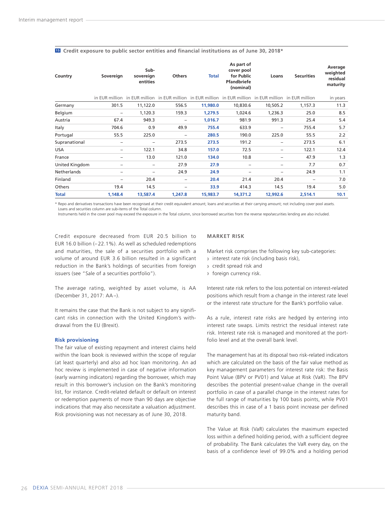| Country        | Sovereign | Sub-<br>sovereign<br>entities                                                                            | <b>Others</b> | <b>Total</b> | As part of<br>cover pool<br>for Public<br>Pfandbriefe<br>(nominal) | Loans    | <b>Securities</b> | Average<br>weighted<br>residual<br>maturity |
|----------------|-----------|----------------------------------------------------------------------------------------------------------|---------------|--------------|--------------------------------------------------------------------|----------|-------------------|---------------------------------------------|
|                |           | in EUR million in EUR million in EUR million in EUR million in EUR million in EUR million in EUR million |               |              |                                                                    |          |                   | in years                                    |
| Germany        | 301.5     | 11,122.0                                                                                                 | 556.5         | 11,980.0     | 10,830.6                                                           | 10,505.2 | 1,157.3           | 11.3                                        |
| Belgium        | -         | 1,120.3                                                                                                  | 159.3         | 1,279.5      | 1,024.6                                                            | 1,236.3  | 25.0              | 8.5                                         |
| Austria        | 67.4      | 949.3                                                                                                    | -             | 1,016.7      | 981.9                                                              | 991.3    | 25.4              | 5.4                                         |
| Italy          | 704.6     | 0.9                                                                                                      | 49.9          | 755.4        | 633.9                                                              | -        | 755.4             | 5.7                                         |
| Portugal       | 55.5      | 225.0                                                                                                    |               | 280.5        | 190.0                                                              | 225.0    | 55.5              | 2.2                                         |
| Supranational  | -         | -                                                                                                        | 273.5         | 273.5        | 191.2                                                              | -        | 273.5             | 6.1                                         |
| <b>USA</b>     | -         | 122.1                                                                                                    | 34.8          | 157.0        | 72.5                                                               |          | 122.1             | 12.4                                        |
| France         | -         | 13.0                                                                                                     | 121.0         | 134.0        | 10.8                                                               |          | 47.9              | 1.3                                         |
| United Kingdom | -         | -                                                                                                        | 27.9          | 27.9         | -                                                                  | -        | 7.7               | 0.7                                         |
| Netherlands    | -         | -                                                                                                        | 24.9          | 24.9         | -                                                                  | -        | 24.9              | 1.1                                         |
| Finland        | -         | 20.4                                                                                                     | -             | 20.4         | 21.4                                                               | 20.4     |                   | 7.0                                         |
| Others         | 19.4      | 14.5                                                                                                     | -             | 33.9         | 414.3                                                              | 14.5     | 19.4              | 5.0                                         |
| <b>Total</b>   | 1,148.4   | 13,587.4                                                                                                 | 1,247.8       | 15,983.7     | 14,371.2                                                           | 12,992.6 | 2,514.1           | 10.1                                        |

**<sup>15</sup> Credit exposure to public sector entities and financial institutions as of June 30, 2018\***

\* Repo and derivatives transactions have been recognised at their credit equivalent amount; loans and securities at their carrying amount; not including cover pool assets. Loans and securities column are sub-items of the Total column.

Instruments held in the cover pool may exceed the exposure in the Total column, since borrowed securities from the reverse repo/securities lending are also included.

Credit exposure decreased from EUR 20.5 billion to EUR 16.0 billion (– 22.1%). As well as scheduled redemptions and maturities, the sale of a securities portfolio with a volume of around EUR 3.6 billion resulted in a significant reduction in the Bank's holdings of securities from foreign issuers (see "Sale of a securities portfolio").

The average rating, weighted by asset volume, is AA (December 31, 2017: AA –).

It remains the case that the Bank is not subject to any significant risks in connection with the United Kingdom's withdrawal from the EU (Brexit).

#### **Risk provisioning**

The fair value of existing repayment and interest claims held within the loan book is reviewed within the scope of regular (at least quarterly) and also ad hoc loan monitoring. An ad hoc review is implemented in case of negative information (early warning indicators) regarding the borrower, which may result in this borrower's inclusion on the Bank's monitoring list, for instance. Credit-related default or default on interest or redemption payments of more than 90 days are objective indications that may also necessitate a valuation adjustment. Risk provisioning was not necessary as of June 30, 2018.

### **MARKET RISK**

Market risk comprises the following key sub-categories:

- **›** interest rate risk (including basis risk),
- **›** credit spread risk and
- **›** foreign currency risk.

Interest rate risk refers to the loss potential on interest-related positions which result from a change in the interest rate level or the interest rate structure for the Bank's portfolio value.

As a rule, interest rate risks are hedged by entering into interest rate swaps. Limits restrict the residual interest rate risk. Interest rate risk is managed and monitored at the portfolio level and at the overall bank level.

The management has at its disposal two risk-related indicators which are calculated on the basis of the fair value method as key management parameters for interest rate risk: the Basis Point Value (BPV or PV01) and Value at Risk (VaR). The BPV describes the potential present-value change in the overall portfolio in case of a parallel change in the interest rates for the full range of maturities by 100 basis points, while PV01 describes this in case of a 1 basis point increase per defined maturity band.

The Value at Risk (VaR) calculates the maximum expected loss within a defined holding period, with a sufficient degree of probability. The Bank calculates the VaR every day, on the basis of a confidence level of 99.0% and a holding period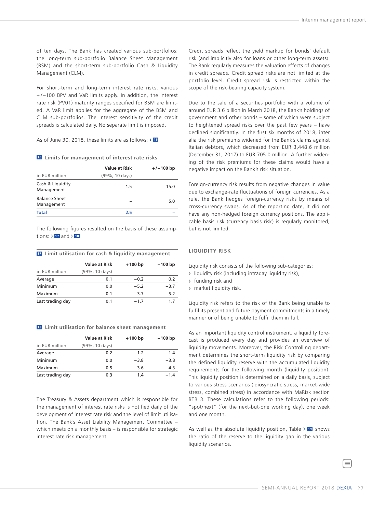of ten days. The Bank has created various sub-portfolios: the long-term sub-portfolio Balance Sheet Management (BSM) and the short-term sub-portfolio Cash & Liquidity Management (CLM).

For short-term and long-term interest rate risks, various + / –100 BPV and VaR limits apply. In addition, the interest rate risk (PV01) maturity ranges specified for BSM are limited. A VaR limit applies for the aggregate of the BSM and CLM sub-portfolios. The interest sensitivity of the credit spreads is calculated daily. No separate limit is imposed.

As of June 30, 2018, these limits are as follows: › **<sup>16</sup>**

| 16 Limits for management of interest rate risks |                |             |  |  |  |  |
|-------------------------------------------------|----------------|-------------|--|--|--|--|
|                                                 | Value at Risk  | $+/-100$ bp |  |  |  |  |
| in EUR million                                  | (99%, 10 days) |             |  |  |  |  |
| Cash & Liquidity<br>Management                  | 1.5            | 15.0        |  |  |  |  |
| <b>Balance Sheet</b><br>Management              |                | 5.0         |  |  |  |  |
| <b>Total</b>                                    | 2.5            |             |  |  |  |  |

The following figures resulted on the basis of these assumptions: › **<sup>17</sup>** and › **<sup>18</sup>**

|  |  |  |  |  |  |  |  | 17 Limit utilisation for cash & liquidity management |
|--|--|--|--|--|--|--|--|------------------------------------------------------|
|--|--|--|--|--|--|--|--|------------------------------------------------------|

|                  | <b>Value at Risk</b> | $+100$ bp | $-100$ bp |
|------------------|----------------------|-----------|-----------|
| in EUR million   | (99%, 10 days)       |           |           |
| Average          | 0.1                  | $-0.2$    | 0.2       |
| Minimum          | 0.0                  | $-5.2$    | $-3.7$    |
| Maximum          | 0.1                  | 3.7       | 5.2       |
| Last trading day | 0.1                  | $-1.7$    | 1.7       |

|  |  |  |  |  |  | <sup>18</sup> Limit utilisation for balance sheet management |
|--|--|--|--|--|--|--------------------------------------------------------------|
|--|--|--|--|--|--|--------------------------------------------------------------|

|                  | <b>Value at Risk</b> | $+100$ bp | $-100$ bp |
|------------------|----------------------|-----------|-----------|
| in EUR million   | (99%, 10 days)       |           |           |
| Average          | 0.2                  | $-1.2$    | 1.4       |
| Minimum          | 0.0                  | $-3.8$    | $-3.8$    |
| Maximum          | 0.5                  | 3.6       | 4.3       |
| Last trading day | 0.3                  | 14        | $-1.4$    |

The Treasury & Assets department which is responsible for the management of interest rate risks is notified daily of the development of interest rate risk and the level of limit utilisation. The Bank's Asset Liability Management Committee – which meets on a monthly basis – is responsible for strategic interest rate risk management.

Credit spreads reflect the yield markup for bonds' default risk (and implicitly also for loans or other long-term assets). The Bank regularly measures the valuation effects of changes in credit spreads. Credit spread risks are not limited at the portfolio level. Credit spread risk is restricted within the scope of the risk-bearing capacity system.

Due to the sale of a securities portfolio with a volume of around EUR 3.6 billion in March 2018, the Bank's holdings of government and other bonds – some of which were subject to heightened spread risks over the past few years – have declined significantly. In the first six months of 2018, inter alia the risk premiums widened for the Bank's claims against Italian debtors, which decreased from EUR 3,448.6 million (December 31, 2017) to EUR 705.0 million. A further widening of the risk premiums for these claims would have a negative impact on the Bank's risk situation.

Foreign-currency risk results from negative changes in value due to exchange-rate fluctuations of foreign currencies. As a rule, the Bank hedges foreign-currency risks by means of cross-currency swaps. As of the reporting date, it did not have any non-hedged foreign currency positions. The applicable basis risk (currency basis risk) is regularly monitored, but is not limited.

#### **LIQUIDITY RISK**

Liquidity risk consists of the following sub-categories: **›** liquidity risk (including intraday liquidity risk),

- **›** funding risk and
- **›** market liquidity risk.

Liquidity risk refers to the risk of the Bank being unable to fulfil its present and future payment commitments in a timely manner or of being unable to fulfil them in full.

As an important liquidity control instrument, a liquidity forecast is produced every day and provides an overview of liquidity movements. Moreover, the Risk Controlling department determines the short-term liquidity risk by comparing the defined liquidity reserve with the accumulated liquidity requirements for the following month (liquidity position). This liquidity position is determined on a daily basis, subject to various stress scenarios (idiosyncratic stress, market-wide stress, combined stress) in accordance with MaRisk section BTR 3. These calculations refer to the following periods: "spot/next" (for the next-but-one working day), one week and one month.

As well as the absolute liquidity position, Table › **<sup>19</sup>** shows the ratio of the reserve to the liquidity gap in the various liquidity scenarios.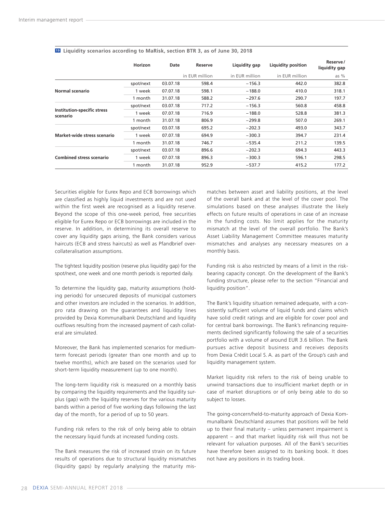|                                         | Horizon   | Date     | Reserve        | Liguidity gap  | <b>Liquidity position</b> | Reserve/<br>liquidity gap |
|-----------------------------------------|-----------|----------|----------------|----------------|---------------------------|---------------------------|
|                                         |           |          | in EUR million | in EUR million | in EUR million            | as $%$                    |
|                                         | spot/next | 03.07.18 | 598.4          | $-156.3$       | 442.0                     | 382.8                     |
| Normal scenario                         | 1 week    | 07.07.18 | 598.1          | $-188.0$       | 410.0                     | 318.1                     |
|                                         | 1 month   | 31.07.18 | 588.2          | $-297.6$       | 290.7                     | 197.7                     |
|                                         | spot/next | 03.07.18 | 717.2          | $-156.3$       | 560.8                     | 458.8                     |
| Institution-specific stress<br>scenario | 1 week    | 07.07.18 | 716.9          | $-188.0$       | 528.8                     | 381.3                     |
|                                         | 1 month   | 31.07.18 | 806.9          | $-299.8$       | 507.0                     | 269.1                     |
|                                         | spot/next | 03.07.18 | 695.2          | $-202.3$       | 493.0                     | 343.7                     |
| Market-wide stress scenario             | 1 week    | 07.07.18 | 694.9          | $-300.3$       | 394.7                     | 231.4                     |
|                                         | 1 month   | 31.07.18 | 746.7          | $-535.4$       | 211.2                     | 139.5                     |
|                                         | spot/next | 03.07.18 | 896.6          | $-202.3$       | 694.3                     | 443.3                     |
| <b>Combined stress scenario</b>         | 1 week    | 07.07.18 | 896.3          | $-300.3$       | 596.1                     | 298.5                     |
|                                         | 1 month   | 31.07.18 | 952.9          | $-537.7$       | 415.2                     | 177.2                     |

#### **19 Liquidity scenarios according to MaRisk, section BTR 3, as of June 30, 2018**

Securities eligible for Eurex Repo and ECB borrowings which are classified as highly liquid investments and are not used within the first week are recognised as a liquidity reserve. Beyond the scope of this one-week period, free securities eligible for Eurex Repo or ECB borrowings are included in the reserve. In addition, in determining its overall reserve to cover any liquidity gaps arising, the Bank considers various haircuts (ECB and stress haircuts) as well as Pfandbrief overcollateralisation assumptions.

The tightest liquidity position (reserve plus liquidity gap) for the spot/next, one week and one month periods is reported daily.

To determine the liquidity gap, maturity assumptions (holding periods) for unsecured deposits of municipal customers and other investors are included in the scenarios. In addition, pro rata drawing on the guarantees and liquidity lines provided by Dexia Kommunalbank Deutschland and liquidity outflows resulting from the increased payment of cash collateral are simulated.

Moreover, the Bank has implemented scenarios for mediumterm forecast periods (greater than one month and up to twelve months), which are based on the scenarios used for short-term liquidity measurement (up to one month).

The long-term liquidity risk is measured on a monthly basis by comparing the liquidity requirements and the liquidity surplus (gap) with the liquidity reserves for the various maturity bands within a period of five working days following the last day of the month, for a period of up to 50 years.

Funding risk refers to the risk of only being able to obtain the necessary liquid funds at increased funding costs.

The Bank measures the risk of increased strain on its future results of operations due to structural liquidity mismatches (liquidity gaps) by regularly analysing the maturity mismatches between asset and liability positions, at the level of the overall bank and at the level of the cover pool. The simulations based on these analyses illustrate the likely effects on future results of operations in case of an increase in the funding costs. No limit applies for the maturity mismatch at the level of the overall portfolio. The Bank's Asset Liability Management Committee measures maturity mismatches and analyses any necessary measures on a monthly basis.

Funding risk is also restricted by means of a limit in the riskbearing capacity concept. On the development of the Bank's funding structure, please refer to the section "Financial and liquidity position".

The Bank's liquidity situation remained adequate, with a consistently sufficient volume of liquid funds and claims which have solid credit ratings and are eligible for cover pool and for central bank borrowings. The Bank's refinancing requirements declined significantly following the sale of a securities portfolio with a volume of around EUR 3.6 billion. The Bank pursues active deposit business and receives deposits from Dexia Crédit Local S. A. as part of the Group's cash and liquidity management system.

Market liquidity risk refers to the risk of being unable to unwind transactions due to insufficient market depth or in case of market disruptions or of only being able to do so subject to losses.

The going-concern/held-to-maturity approach of Dexia Kommunalbank Deutschland assumes that positions will be held up to their final maturity – unless permanent impairment is apparent – and that market liquidity risk will thus not be relevant for valuation purposes. All of the Bank's securities have therefore been assigned to its banking book. It does not have any positions in its trading book.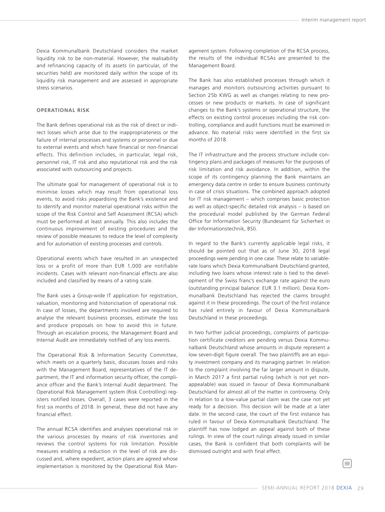Dexia Kommunalbank Deutschland considers the market liquidity risk to be non-material. However, the realisability and refinancing capacity of its assets (in particular, of the securities held) are monitored daily within the scope of its liquidity risk management and are assessed in appropriate stress scenarios.

#### **OPERATIONAL RISK**

The Bank defines operational risk as the risk of direct or indirect losses which arise due to the inappropriateness or the failure of internal processes and systems or personnel or due to external events and which have financial or non-financial effects. This definition includes, in particular, legal risk, personnel risk, IT risk and also reputational risk and the risk associated with outsourcing and projects.

The ultimate goal for management of operational risk is to minimise losses which may result from operational loss events, to avoid risks jeopardising the Bank's existence and to identify and monitor material operational risks within the scope of the Risk Control and Self Assessment (RCSA) which must be performed at least annually. This also includes the continuous improvement of existing procedures and the review of possible measures to reduce the level of complexity and for automation of existing processes and controls.

Operational events which have resulted in an unexpected loss or a profit of more than EUR 1,000 are notifiable incidents. Cases with relevant non-financial effects are also included and classified by means of a rating scale.

The Bank uses a Group-wide IT application for registration, valuation, monitoring and historicisation of operational risk. In case of losses, the departments involved are required to analyse the relevant business processes, estimate the loss and produce proposals on how to avoid this in future. Through an escalation process, the Management Board and Internal Audit are immediately notified of any loss events.

The Operational Risk & Information Security Committee, which meets on a quarterly basis, discusses losses and risks with the Management Board, representatives of the IT department, the IT and information security officer, the compliance officer and the Bank's Internal Audit department. The Operational Risk Management system (Risk Controlling) registers notified losses. Overall, 3 cases were reported in the first six months of 2018. In general, these did not have any financial effect.

The annual RCSA identifies and analyses operational risk in the various processes by means of risk inventories and reviews the control systems for risk limitation. Possible measures enabling a reduction in the level of risk are discussed and, where expedient, action plans are agreed whose implementation is monitored by the Operational Risk Management system. Following completion of the RCSA process, the results of the individual RCSAs are presented to the Management Board.

The Bank has also established processes through which it manages and monitors outsourcing activities pursuant to Section 25b KWG as well as changes relating to new processes or new products or markets. In case of significant changes to the Bank's systems or operational structure, the effects on existing control processes including the risk controlling, compliance and audit functions must be examined in advance. No material risks were identified in the first six months of 2018.

The IT infrastructure and the process structure include contingency plans and packages of measures for the purposes of risk limitation and risk avoidance. In addition, within the scope of its contingency planning the Bank maintains an emergency data centre in order to ensure business continuity in case of crisis situations. The combined approach adopted for IT risk management – which comprises basic protection as well as object-specific detailed risk analysis – is based on the procedural model published by the German Federal Office for Information Security (Bundesamt für Sicherheit in der Informationstechnik, BSI).

In regard to the Bank's currently applicable legal risks, it should be pointed out that as of June 30, 2018 legal proceedings were pending in one case. These relate to variablerate loans which Dexia Kommunalbank Deutschland granted, including two loans whose interest rate is tied to the development of the Swiss franc's exchange rate against the euro (outstanding principal balance: EUR 3.1 million). Dexia Kommunalbank Deutschland has rejected the claims brought against it in these proceedings. The court of the first instance has ruled entirely in favour of Dexia Kommunalbank Deutschland in these proceedings.

In two further judicial proceedings, complaints of participation certificate creditors are pending versus Dexia Kommunalbank Deutschland whose amounts in dispute represent a low seven-digit figure overall. The two plaintiffs are an equity investment company and its managing partner. In relation to the complaint involving the far larger amount in dispute, in March 2017 a first partial ruling (which is not yet nonappealable) was issued in favour of Dexia Kommunalbank Deutschland for almost all of the matter in controversy. Only in relation to a low-value partial claim was the case not yet ready for a decision. This decision will be made at a later date. In the second case, the court of the first instance has ruled in favour of Dexia Kommunalbank Deutschland. The plaintiff has now lodged an appeal against both of these rulings. In view of the court rulings already issued in similar cases, the Bank is confident that both complaints will be dismissed outright and with final effect.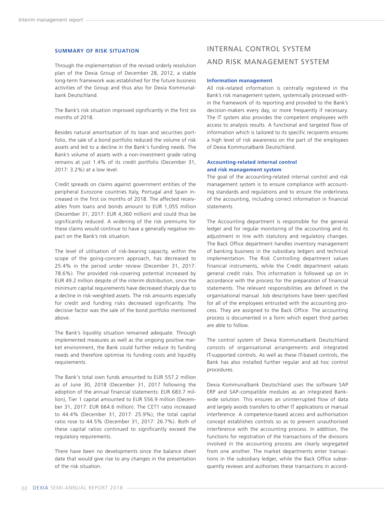#### <span id="page-31-0"></span>**SUMMARY OF RISK SITUATION**

Through the implementation of the revised orderly resolution plan of the Dexia Group of December 28, 2012, a stable long-term framework was established for the future business activities of the Group and thus also for Dexia Kommunalbank Deutschland.

The Bank's risk situation improved significantly in the first six months of 2018.

Besides natural amortisation of its loan and securities portfolio, the sale of a bond portfolio reduced the volume of risk assets and led to a decline in the Bank's funding needs. The Bank's volume of assets with a non-investment grade rating remains at just 1.4% of its credit portfolio (December 31, 2017: 3.2%) at a low level.

Credit spreads on claims against government entities of the peripheral Eurozone countries Italy, Portugal and Spain increased in the first six months of 2018. The affected receivables from loans and bonds amount to EUR 1,055 million (December 31, 2017: EUR 4,360 million) and could thus be significantly reduced. A widening of the risk premiums for these claims would continue to have a generally negative impact on the Bank's risk situation.

The level of utilisation of risk-bearing capacity, within the scope of the going-concern approach, has decreased to 25.4% in the period under review (December 31, 2017: 78.6%). The provided risk-covering potential increased by EUR 49.2 million despite of the interim distribution, since the minimum capital requirements have decreased sharply due to a decline in risk-weighted assets. The risk amounts especially for credit and funding risks decreased significantly. The decisive factor was the sale of the bond portfolio mentioned above.

The Bank's liquidity situation remained adequate. Through implemented measures as well as the ongoing positive market environment, the Bank could further reduce its funding needs and therefore optimise its funding costs and liquidity requirements.

The Bank's total own funds amounted to EUR 557.2 million as of June 30, 2018 (December 31, 2017 following the adoption of the annual financial statements: EUR 683.7 million), Tier 1 capital amounted to EUR 556.9 million (December 31, 2017: EUR 664.6 million). The CET1 ratio increased to 44.4% (December 31, 2017: 25.9%), the total capital ratio rose to 44.5% (December 31, 2017: 26.7%). Both of these capital ratios continued to significantly exceed the regulatory requirements.

There have been no developments since the balance sheet date that would give rise to any changes in the presentation of the risk situation.

# INTERNAL CONTROL SYSTEM AND RISK MANAGEMENT SYSTEM

#### **Information management**

All risk-related information is centrally registered in the Bank's risk management system, systemically processed within the framework of its reporting and provided to the Bank's decision-makers every day, or more frequently if necessary. The IT system also provides the competent employees with access to analysis results. A functional and targeted flow of information which is tailored to its specific recipients ensures a high level of risk awareness on the part of the employees of Dexia Kommunalbank Deutschland.

#### **Accounting-related internal control and risk management system**

The goal of the accounting-related internal control and risk management system is to ensure compliance with accounting standards and regulations and to ensure the orderliness of the accounting, including correct information in financial statements.

The Accounting department is responsible for the general ledger and for regular monitoring of the accounting and its adjustment in line with statutory and regulatory changes. The Back Office department handles inventory management of banking business in the subsidiary ledgers and technical implementation. The Risk Controlling department values financial instruments, while the Credit department values general credit risks. This information is followed up on in accordance with the process for the preparation of financial statements. The relevant responsibilities are defined in the organisational manual. Job descriptions have been specified for all of the employees entrusted with the accounting process. They are assigned to the Back Office. The accounting process is documented in a form which expert third parties are able to follow.

The control system of Dexia Kommunalbank Deutschland consists of organisational arrangements and integrated IT-supported controls. As well as these IT-based controls, the Bank has also installed further regular and ad hoc control procedures.

Dexia Kommunalbank Deutschland uses the software SAP ERP and SAP-compatible modules as an integrated Bankwide solution. This ensures an uninterrupted flow of data and largely avoids transfers to other IT applications or manual interference. A competence-based access and authorisation concept establishes controls so as to prevent unauthorised interference with the accounting process. In addition, the functions for registration of the transactions of the divisions involved in the accounting process are clearly segregated from one another. The market departments enter transactions in the subsidiary ledger, while the Back Office subsequently reviews and authorises these transactions in accord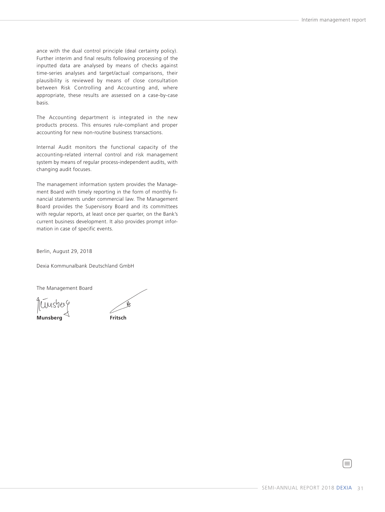ance with the dual control principle (deal certainty policy). Further interim and final results following processing of the inputted data are analysed by means of checks against time-series analyses and target/actual comparisons, their plausibility is reviewed by means of close consultation between Risk Controlling and Accounting and, where appropriate, these results are assessed on a case-by-case basis.

The Accounting department is integrated in the new products process. This ensures rule-compliant and proper accounting for new non-routine business transactions.

Internal Audit monitors the functional capacity of the accounting-related internal control and risk management system by means of regular process-independent audits, with changing audit focuses.

The management information system provides the Management Board with timely reporting in the form of monthly financial statements under commercial law. The Management Board provides the Supervisory Board and its committees with regular reports, at least once per quarter, on the Bank's current business development. It also provides prompt information in case of specific events.

Berlin, August 29, 2018

Dexia Kommunalbank Deutschland GmbH

The Management Board

Nuushe

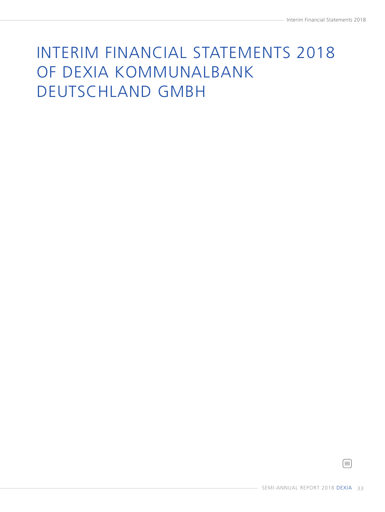# <span id="page-34-0"></span>INTERIM FINANCIAL STATEMENTS 2018 OF DEXIA KOMMUNALBANK DEUTSCHLAND GMBH

目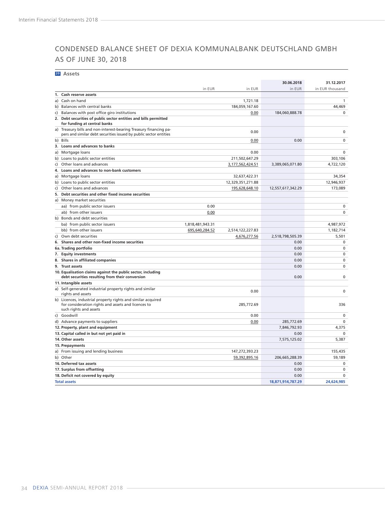# <span id="page-35-0"></span>CONDENSED BALANCE SHEET OF DEXIA KOMMUNALBANK DEUTSCHLAND GMBH AS OF JUNE 30, 2018

**20 Assets**

|                                                                                                                                               |                  |                   | 30.06.2018        | 31.12.2017      |
|-----------------------------------------------------------------------------------------------------------------------------------------------|------------------|-------------------|-------------------|-----------------|
|                                                                                                                                               | in EUR           | in EUR            | in EUR            | in EUR thousand |
| Cash reserve assets<br>1.                                                                                                                     |                  |                   |                   |                 |
| a) Cash on hand                                                                                                                               |                  | 1,721.18          |                   | $\mathbf{1}$    |
| b) Balances with central banks                                                                                                                |                  | 184,059,167.60    |                   | 44,469          |
| c) Balances with post office giro institutions                                                                                                |                  | 0.00              | 184,060,888.78    | $\mathbf 0$     |
| 2. Debt securities of public sector entities and bills permitted<br>for funding at central banks                                              |                  |                   |                   |                 |
| a) Treasury bills and non-interest-bearing Treasury financing pa-<br>pers and similar debt securities issued by public sector entities        |                  | 0.00              |                   | $\mathbf 0$     |
| b) Bills                                                                                                                                      |                  | 0.00              | 0.00              | $\mathbf 0$     |
| 3. Loans and advances to banks                                                                                                                |                  |                   |                   |                 |
| a) Mortgage loans                                                                                                                             |                  | 0.00              |                   | $\Omega$        |
| b) Loans to public sector entities                                                                                                            |                  | 211,502,647.29    |                   | 303,106         |
| c) Other loans and advances                                                                                                                   |                  | 3,177,562,424.51  | 3,389,065,071.80  | 4,722,120       |
| 4. Loans and advances to non-bank customers                                                                                                   |                  |                   |                   |                 |
| a) Mortgage loans                                                                                                                             |                  | 32,637,422.31     |                   | 34,354          |
| b) Loans to public sector entities                                                                                                            |                  | 12,329,351,271.88 |                   | 12,946,937      |
| c) Other loans and advances                                                                                                                   |                  | 195,628,648.10    | 12,557,617,342.29 | 173,089         |
| 5. Debt securities and other fixed income securities                                                                                          |                  |                   |                   |                 |
| a) Money market securities                                                                                                                    |                  |                   |                   |                 |
| aa) from public sector issuers                                                                                                                | 0.00             |                   |                   | $\mathbf 0$     |
| ab) from other issuers                                                                                                                        | 0.00             |                   |                   | $\mathbf 0$     |
| b) Bonds and debt securities                                                                                                                  |                  |                   |                   |                 |
| ba) from public sector issuers                                                                                                                | 1,818,481,943.31 |                   |                   | 4,987,972       |
| bb) from other issuers                                                                                                                        | 695,640,284.52   | 2,514,122,227.83  |                   | 1,182,714       |
| c) Own debt securities                                                                                                                        |                  | 4,676,277.56      | 2,518,798,505.39  | 5,501           |
| 6. Shares and other non-fixed income securities                                                                                               |                  |                   | 0.00              | $\mathbf 0$     |
| 6a. Trading portfolio                                                                                                                         |                  |                   | 0.00              | $\Omega$        |
| 7. Equity investments                                                                                                                         |                  |                   | 0.00              | $\mathbf 0$     |
| 8. Shares in affiliated companies                                                                                                             |                  |                   | 0.00              | $\mathbf 0$     |
| 9. Trust assets                                                                                                                               |                  |                   | 0.00              | $\mathbf 0$     |
| 10. Equalisation claims against the public sector, including                                                                                  |                  |                   |                   |                 |
| debt securities resulting from their conversion                                                                                               |                  |                   | 0.00              | $\mathbf 0$     |
| 11. Intangible assets                                                                                                                         |                  |                   |                   |                 |
| a) Self-generated industrial property rights and similar<br>rights and assets                                                                 |                  | 0.00              |                   | $\mathbf 0$     |
| b) Licences, industrial property rights and similar acquired<br>for consideration rights and assets and licences to<br>such rights and assets |                  | 285,772.69        |                   | 336             |
| c) Goodwill                                                                                                                                   |                  | 0.00              |                   | $\Omega$        |
| d) Advance payments to suppliers                                                                                                              |                  | 0.00              | 285,772.69        | $\mathbf 0$     |
| 12. Property, plant and equipment                                                                                                             |                  |                   | 7,846,792.93      | 4,375           |
| 13. Capital called in but not yet paid in                                                                                                     |                  |                   | 0.00              | $\Omega$        |
| 14. Other assets                                                                                                                              |                  |                   | 7,575,125.02      | 5,387           |
| 15. Prepayments                                                                                                                               |                  |                   |                   |                 |
| a) From issuing and lending business                                                                                                          |                  | 147,272,393.23    |                   | 155,435         |
| b) Other                                                                                                                                      |                  | 59,392,895.16     | 206,665,288.39    | 59,189          |
| 16. Deferred tax assets                                                                                                                       |                  |                   | 0.00              | $\mathbf 0$     |
| 17. Surplus from offsetting                                                                                                                   |                  |                   | 0.00              | $\mathbf 0$     |
| 18. Deficit not covered by equity                                                                                                             |                  |                   | 0.00              | $\mathbf 0$     |
| <b>Total assets</b>                                                                                                                           |                  |                   | 18,871,914,787.29 | 24.624.985      |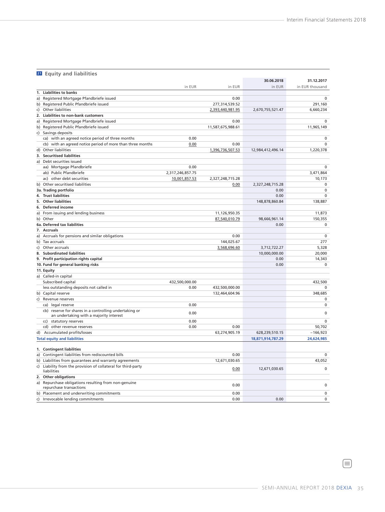### **<sup>21</sup> Equity and liabilities**

|    |                                                               |                  |                   | 30.06.2018        | 31.12.2017      |
|----|---------------------------------------------------------------|------------------|-------------------|-------------------|-----------------|
|    |                                                               | in EUR           | in EUR            | in EUR            | in EUR thousand |
|    | 1. Liabilities to banks                                       |                  |                   |                   |                 |
|    | a) Registered Mortgage Pfandbriefe issued                     |                  | 0.00              |                   | $\mathbf 0$     |
|    | b) Registered Public Pfandbriefe issued                       |                  | 277,314,539.52    |                   | 291,160         |
| c) | Other liabilities                                             |                  | 2,393,440,981.95  | 2,670,755,521.47  | 6,660,234       |
|    | 2. Liabilities to non-bank customers                          |                  |                   |                   |                 |
| a) | Registered Mortgage Pfandbriefe issued                        |                  | 0.00              |                   | $\Omega$        |
|    | b) Registered Public Pfandbriefe issued                       |                  | 11,587,675,988.61 |                   | 11,965,149      |
|    | c) Savings deposits                                           |                  |                   |                   |                 |
|    | ca) with an agreed notice period of three months              | 0.00             |                   |                   | $\mathbf 0$     |
|    | cb) with an agreed notice period of more than three months    | 0.00             | 0.00              |                   | $\Omega$        |
|    | d) Other liabilities                                          |                  | 1,396,736,507.53  | 12,984,412,496.14 | 1,220,378       |
|    | 3. Securitised liabilities                                    |                  |                   |                   |                 |
|    | a) Debt securities issued                                     |                  |                   |                   |                 |
|    | aa) Mortgage Pfandbriefe                                      | 0.00             |                   |                   | $\Omega$        |
|    | ab) Public Pfandbriefe                                        | 2,317,246,857.75 |                   |                   | 3,471,864       |
|    | ac) other debt securities                                     | 10,001,857.53    | 2,327,248,715.28  |                   | 10,173          |
|    | b) Other securitised liabilities                              |                  | 0.00              | 2,327,248,715.28  | 0               |
|    | 3a. Trading portfolio                                         |                  |                   | 0.00              | $\mathbf 0$     |
|    | 4. Trust liabilities                                          |                  |                   | 0.00              | $\mathbf 0$     |
|    | 5. Other liabilities                                          |                  |                   |                   |                 |
|    |                                                               |                  |                   | 148,878,860.84    | 138,887         |
|    | 6. Deferred income                                            |                  |                   |                   |                 |
|    | a) From issuing and lending business                          |                  | 11,126,950.35     |                   | 11,873          |
|    | b) Other                                                      |                  | 87,540,010.79     | 98,666,961.14     | 150,355         |
|    | 6a. Deferred tax liabilities                                  |                  |                   | 0.00              | $\mathbf 0$     |
|    | 7. Accruals                                                   |                  |                   |                   |                 |
|    | a) Accruals for pensions and similar obligations              |                  | 0.00              |                   | $\mathbf 0$     |
|    | b) Tax accruals                                               |                  | 144,025.67        |                   | 277             |
| c) | Other accruals                                                |                  | 3,568,696.60      | 3,712,722.27      | 5,328           |
|    | 8. Subordinated liabilities                                   |                  |                   | 10,000,000.00     | 20,000          |
|    | 9. Profit participation rights capital                        |                  |                   | 0.00              | 14,343          |
|    | 10. Fund for general banking risks                            |                  |                   | 0.00              | $\mathbf 0$     |
|    | 11. Equity                                                    |                  |                   |                   |                 |
|    | a) Called-in capital                                          |                  |                   |                   |                 |
|    | Subscribed capital                                            | 432,500,000.00   |                   |                   | 432,500         |
|    | less outstanding deposits not called in                       | 0.00             | 432,500,000.00    |                   | $\mathbf 0$     |
|    | b) Capital reserve                                            |                  | 132,464,604.96    |                   | 348,685         |
| c) | Revenue reserves                                              |                  |                   |                   | 0               |
|    | ca) legal reserve                                             | 0.00             |                   |                   | $\mathbf 0$     |
|    | cb) reserve for shares in a controlling undertaking or        | 0.00             |                   |                   | $\mathbf 0$     |
|    | an undertaking with a majority interest                       |                  |                   |                   |                 |
|    | statutory reserves<br>cc)                                     | 0.00             |                   |                   | $\mathbf 0$     |
|    | cd) other revenue reserves                                    | 0.00             | 0.00              |                   | 50,702          |
|    | d) Accumulated profits/losses                                 |                  | 63,274,905.19     | 628,239,510.15    | $-166,923$      |
|    | <b>Total equity and liabilities</b>                           |                  |                   | 18,871,914,787.29 | 24,624,985      |
|    |                                                               |                  |                   |                   |                 |
|    | 1. Contingent liabilities                                     |                  |                   |                   |                 |
|    | a) Contingent liabilities from rediscounted bills             |                  | 0.00              |                   | $\Omega$        |
|    | b) Liabilities from guarantees and warranty agreements        |                  | 12,671,030.65     |                   | 43,052          |
|    | c) Liability from the provision of collateral for third-party |                  | 0.00              | 12,671,030.65     | $\mathbf 0$     |
|    | liabilities                                                   |                  |                   |                   |                 |
|    | 2. Other obligations                                          |                  |                   |                   |                 |
|    | a) Repurchase obligations resulting from non-genuine          |                  | 0.00              |                   | $\mathbf 0$     |
|    | repurchase transactions                                       |                  |                   |                   |                 |
|    | b) Placement and underwriting commitments                     |                  | 0.00              |                   | $\pmb{0}$       |
| c) | Irrevocable lending commitments                               |                  | 0.00              | 0.00              | $\mathbf 0$     |

 $\textcircled{\scriptsize{\exists}}$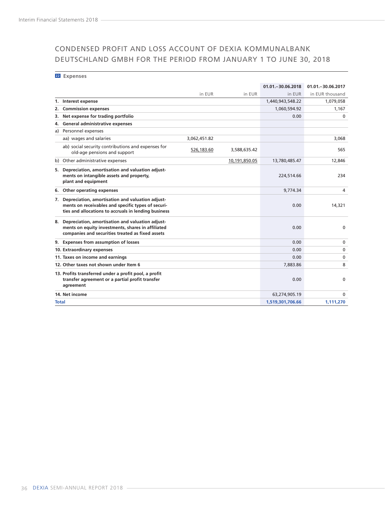# <span id="page-37-0"></span>CONDENSED PROFIT AND LOSS ACCOUNT OF DEXIA KOMMUNALBANK DEUTSCHLAND GMBH FOR THE PERIOD FROM JANUARY 1 TO JUNE 30, 2018

### **22 Expenses**

|       |                                                                                                                                                                |              |               | 01.01. - 30.06.2018 | 01.01 .- 30.06.2017 |
|-------|----------------------------------------------------------------------------------------------------------------------------------------------------------------|--------------|---------------|---------------------|---------------------|
|       |                                                                                                                                                                | in EUR       | in EUR        | in EUR              | in EUR thousand     |
| 1.    | Interest expense                                                                                                                                               |              |               | 1,440,943,548.22    | 1,079,058           |
| 2.    | <b>Commission expenses</b>                                                                                                                                     |              |               | 1,060,594.92        | 1,167               |
| з.    | Net expense for trading portfolio                                                                                                                              |              |               | 0.00                | 0                   |
| 4.    | <b>General administrative expenses</b>                                                                                                                         |              |               |                     |                     |
| a)    | Personnel expenses                                                                                                                                             |              |               |                     |                     |
|       | aa) wages and salaries                                                                                                                                         | 3,062,451.82 |               |                     | 3,068               |
|       | ab) social security contributions and expenses for<br>old-age pensions and support                                                                             | 526,183.60   | 3,588,635.42  |                     | 565                 |
| b)    | Other administrative expenses                                                                                                                                  |              | 10,191,850.05 | 13,780,485.47       | 12,846              |
| 5.    | Depreciation, amortisation and valuation adjust-<br>ments on intangible assets and property,<br>plant and equipment                                            |              |               | 224,514.66          | 234                 |
| 6.    | Other operating expenses                                                                                                                                       |              |               | 9,774.34            | 4                   |
| 7.    | Depreciation, amortisation and valuation adjust-<br>ments on receivables and specific types of securi-<br>ties and allocations to accruals in lending business |              |               | 0.00                | 14,321              |
| 8.    | Depreciation, amortisation and valuation adjust-<br>ments on equity investments, shares in affiliated<br>companies and securities treated as fixed assets      |              |               | 0.00                | $\Omega$            |
| 9.    | <b>Expenses from assumption of losses</b>                                                                                                                      |              |               | 0.00                | 0                   |
|       | 10. Extraordinary expenses                                                                                                                                     |              |               | 0.00                | 0                   |
|       | 11. Taxes on income and earnings                                                                                                                               |              |               | 0.00                | $\mathbf{0}$        |
|       | 12. Other taxes not shown under Item 6                                                                                                                         |              |               | 7,883.86            | 8                   |
|       | 13. Profits transferred under a profit pool, a profit<br>transfer agreement or a partial profit transfer<br>agreement                                          |              |               | 0.00                | $\mathbf 0$         |
|       | 14. Net income                                                                                                                                                 |              |               | 63,274,905.19       | $\Omega$            |
| Total |                                                                                                                                                                |              |               | 1,519,301,706.66    | 1,111,270           |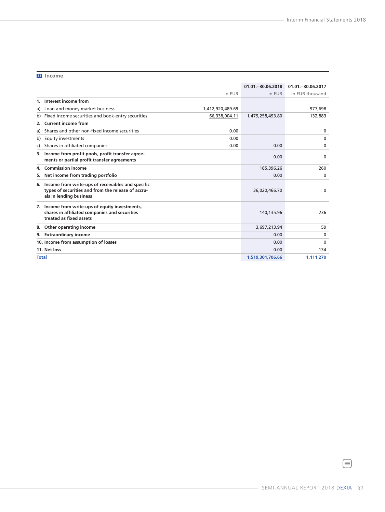**23 Income**

|                                      |                                                                                                                                       |                  | 01.01. - 30.06.2018 | $01.01 - 30.06.2017$ |
|--------------------------------------|---------------------------------------------------------------------------------------------------------------------------------------|------------------|---------------------|----------------------|
|                                      |                                                                                                                                       | in EUR           | in EUR              | in EUR thousand      |
|                                      | 1. Interest income from                                                                                                               |                  |                     |                      |
| a)                                   | Loan and money market business                                                                                                        | 1,412,920,489.69 |                     | 977,698              |
| b)                                   | Fixed income securities and book-entry securities                                                                                     | 66,338,004.11    | 1,479,258,493.80    | 132,883              |
| 2.                                   | <b>Current income from</b>                                                                                                            |                  |                     |                      |
| a)                                   | Shares and other non-fixed income securities                                                                                          | 0.00             |                     | $\mathbf{0}$         |
|                                      | b) Equity investments                                                                                                                 | 0.00             |                     | $\Omega$             |
| C)                                   | Shares in affiliated companies                                                                                                        | 0.00             | 0.00                | $\Omega$             |
|                                      | 3. Income from profit pools, profit transfer agree-<br>ments or partial profit transfer agreements                                    |                  | 0.00                | $\mathbf{0}$         |
| 4.                                   | <b>Commission income</b>                                                                                                              |                  | 185.396.26          | 260                  |
|                                      | 5. Net income from trading portfolio                                                                                                  |                  | 0.00                | $\mathbf{0}$         |
|                                      | 6. Income from write-ups of receivables and specific<br>types of securities and from the release of accru-<br>als in lending business |                  | 36,020,466.70       | $\mathbf{0}$         |
|                                      | 7. Income from write-ups of equity investments,<br>shares in affiliated companies and securities<br>treated as fixed assets           |                  | 140,135.96          | 236                  |
|                                      | 8. Other operating income                                                                                                             |                  | 3,697,213.94        | 59                   |
|                                      | 9. Extraordinary income                                                                                                               |                  | 0.00                | $\mathbf{0}$         |
| 10. Income from assumption of losses |                                                                                                                                       | 0.00             | $\mathbf{0}$        |                      |
|                                      | 11. Net loss                                                                                                                          |                  | 0.00                | 134                  |
| <b>Total</b>                         |                                                                                                                                       |                  | 1,519,301,706.66    | 1,111,270            |

 $\textcircled{\scriptsize{\exists}}$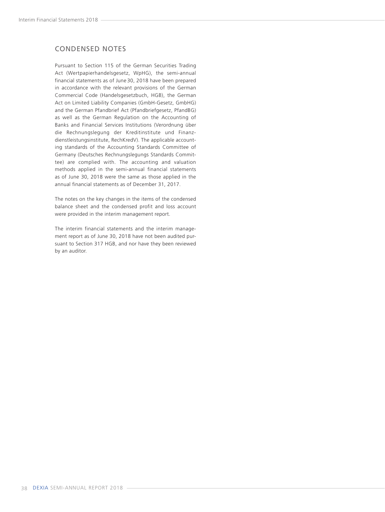## <span id="page-39-0"></span>CONDENSED NOTES

Pursuant to Section 115 of the German Securities Trading Act (Wertpapierhandelsgesetz, WpHG), the semi-annual financial statements as of June 30, 2018 have been prepared in accordance with the relevant provisions of the German Commercial Code (Handelsgesetzbuch, HGB), the German Act on Limited Liability Companies (GmbH-Gesetz, GmbHG) and the German Pfandbrief Act (Pfandbriefgesetz, PfandBG) as well as the German Regulation on the Accounting of Banks and Financial Services Institutions (Verordnung über die Rechnungslegung der Kreditinstitute und Finanzdienstleistungsinstitute, RechKredV). The applicable accounting standards of the Accounting Standards Committee of Germany (Deutsches Rechnungslegungs Standards Committee) are complied with. The accounting and valuation methods applied in the semi-annual financial statements as of June 30, 2018 were the same as those applied in the annual financial statements as of December 31, 2017.

The notes on the key changes in the items of the condensed balance sheet and the condensed profit and loss account were provided in the interim management report.

The interim financial statements and the interim management report as of June 30, 2018 have not been audited pursuant to Section 317 HGB, and nor have they been reviewed by an auditor.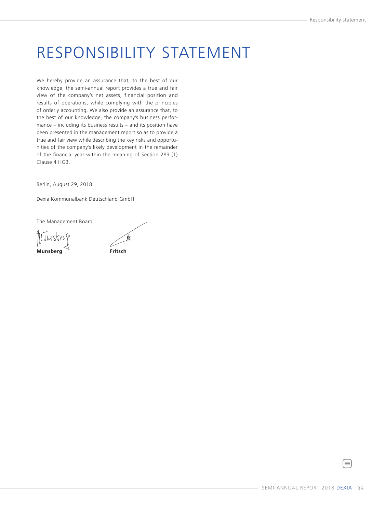# <span id="page-40-0"></span>RESPONSIBILITY STATEMENT

We hereby provide an assurance that, to the best of our knowledge, the semi-annual report provides a true and fair view of the company's net assets, financial position and results of operations, while complying with the principles of orderly accounting. We also provide an assurance that, to the best of our knowledge, the company's business performance – including its business results – and its position have been presented in the management report so as to provide a true and fair view while describing the key risks and opportunities of the company's likely development in the remainder of the financial year within the meaning of Section 289 (1) Clause 4 HGB.

Berlin, August 29, 2018

Dexia Kommunalbank Deutschland GmbH

The Management Board

Nunsber



SEMI-ANNUAL REPORT 2018 DEXIA 39

lΞ